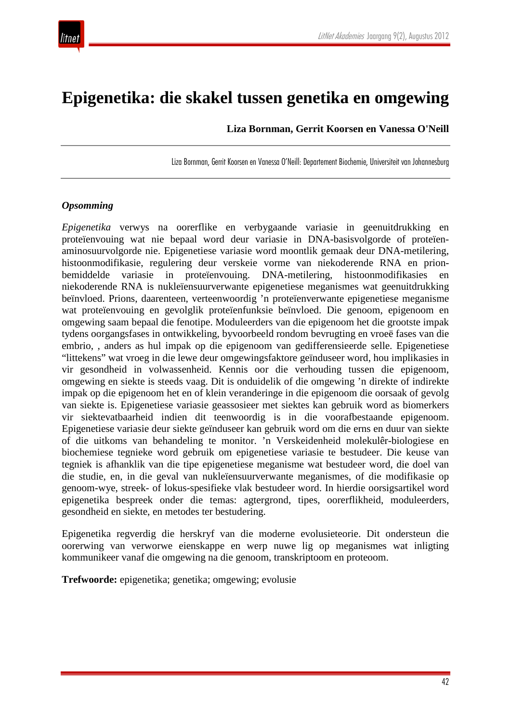

# **Epigenetika: die skakel tussen genetika en omgewing**

**Liza Bornman, Gerrit Koorsen en Vanessa O'Neill**

Liza Bornman, Gerrit Koorsen en Vanessa O'Neill: Departement Biochemie, Universiteit van Johannesburg

#### *Opsomming*

*Epigenetika* verwys na oorerflike en verbygaande variasie in geenuitdrukking en proteïenvouing wat nie bepaal word deur variasie in DNA-basisvolgorde of proteïenaminosuurvolgorde nie. Epigenetiese variasie word moontlik gemaak deur DNA-metilering, histoonmodifikasie, regulering deur verskeie vorme van niekoderende RNA en prionbemiddelde variasie in proteïenvouing. DNA-metilering, histoonmodifikasies en niekoderende RNA is nukleïensuurverwante epigenetiese meganismes wat geenuitdrukking beïnvloed. Prions, daarenteen, verteenwoordig 'n proteïenverwante epigenetiese meganisme wat proteïenvouing en gevolglik proteïenfunksie beïnvloed. Die genoom, epigenoom en omgewing saam bepaal die fenotipe. Moduleerders van die epigenoom het die grootste impak tydens oorgangsfases in ontwikkeling, byvoorbeeld rondom bevrugting en vroeë fases van die embrio, , anders as hul impak op die epigenoom van gedifferensieerde selle. Epigenetiese "littekens" wat vroeg in die lewe deur omgewingsfaktore geïnduseer word, hou implikasies in vir gesondheid in volwassenheid. Kennis oor die verhouding tussen die epigenoom, omgewing en siekte is steeds vaag. Dit is onduidelik of die omgewing 'n direkte of indirekte impak op die epigenoom het en of klein veranderinge in die epigenoom die oorsaak of gevolg van siekte is. Epigenetiese variasie geassosieer met siektes kan gebruik word as biomerkers vir siektevatbaarheid indien dit teenwoordig is in die voorafbestaande epigenoom. Epigenetiese variasie deur siekte geïnduseer kan gebruik word om die erns en duur van siekte of die uitkoms van behandeling te monitor. 'n Verskeidenheid molekulêr-biologiese en biochemiese tegnieke word gebruik om epigenetiese variasie te bestudeer. Die keuse van tegniek is afhanklik van die tipe epigenetiese meganisme wat bestudeer word, die doel van die studie, en, in die geval van nukleïensuurverwante meganismes, of die modifikasie op genoom-wye, streek- of lokus-spesifieke vlak bestudeer word. In hierdie oorsigsartikel word epigenetika bespreek onder die temas: agtergrond, tipes, oorerflikheid, moduleerders, gesondheid en siekte, en metodes ter bestudering.

Epigenetika regverdig die herskryf van die moderne evolusieteorie. Dit ondersteun die oorerwing van verworwe eienskappe en werp nuwe lig op meganismes wat inligting kommunikeer vanaf die omgewing na die genoom, transkriptoom en proteoom.

**Trefwoorde:** epigenetika; genetika; omgewing; evolusie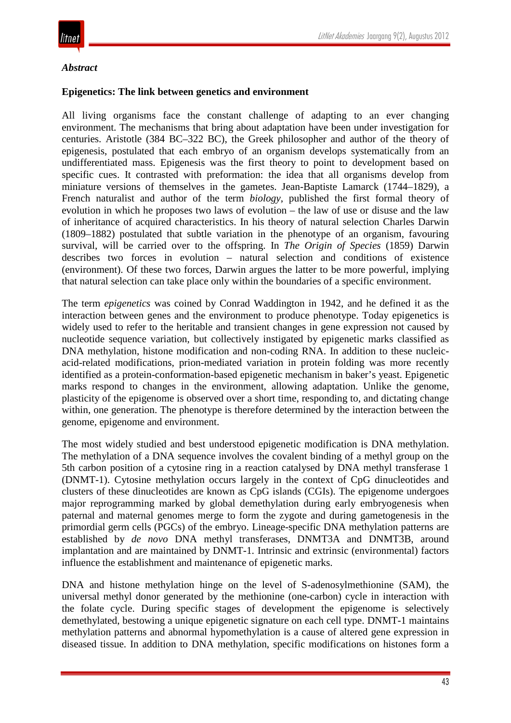

#### *Abstract*

#### **Epigenetics: The link between genetics and environment**

All living organisms face the constant challenge of adapting to an ever changing environment. The mechanisms that bring about adaptation have been under investigation for centuries. Aristotle (384 BC–322 BC), the Greek philosopher and author of the theory of epigenesis, postulated that each embryo of an organism develops systematically from an undifferentiated mass. Epigenesis was the first theory to point to development based on specific cues. It contrasted with preformation: the idea that all organisms develop from miniature versions of themselves in the gametes. Jean-Baptiste Lamarck (1744–1829), a French naturalist and author of the term *biology*, published the first formal theory of evolution in which he proposes two laws of evolution – the law of use or disuse and the law of inheritance of acquired characteristics. In his theory of natural selection Charles Darwin (1809–1882) postulated that subtle variation in the phenotype of an organism, favouring survival, will be carried over to the offspring. In *The Origin of Species* (1859) Darwin describes two forces in evolution – natural selection and conditions of existence (environment). Of these two forces, Darwin argues the latter to be more powerful, implying that natural selection can take place only within the boundaries of a specific environment.

The term *epigenetics* was coined by Conrad Waddington in 1942, and he defined it as the interaction between genes and the environment to produce phenotype. Today epigenetics is widely used to refer to the heritable and transient changes in gene expression not caused by nucleotide sequence variation, but collectively instigated by epigenetic marks classified as DNA methylation, histone modification and non-coding RNA. In addition to these nucleicacid-related modifications, prion-mediated variation in protein folding was more recently identified as a protein-conformation-based epigenetic mechanism in baker's yeast. Epigenetic marks respond to changes in the environment, allowing adaptation. Unlike the genome, plasticity of the epigenome is observed over a short time, responding to, and dictating change within, one generation. The phenotype is therefore determined by the interaction between the genome, epigenome and environment.

The most widely studied and best understood epigenetic modification is DNA methylation. The methylation of a DNA sequence involves the covalent binding of a methyl group on the 5th carbon position of a cytosine ring in a reaction catalysed by DNA methyl transferase 1 (DNMT-1). Cytosine methylation occurs largely in the context of CpG dinucleotides and clusters of these dinucleotides are known as CpG islands (CGIs). The epigenome undergoes major reprogramming marked by global demethylation during early embryogenesis when paternal and maternal genomes merge to form the zygote and during gametogenesis in the primordial germ cells (PGCs) of the embryo. Lineage-specific DNA methylation patterns are established by *de novo* DNA methyl transferases, DNMT3A and DNMT3B, around implantation and are maintained by DNMT-1. Intrinsic and extrinsic (environmental) factors influence the establishment and maintenance of epigenetic marks.

DNA and histone methylation hinge on the level of S-adenosylmethionine (SAM), the universal methyl donor generated by the methionine (one-carbon) cycle in interaction with the folate cycle. During specific stages of development the epigenome is selectively demethylated, bestowing a unique epigenetic signature on each cell type. DNMT-1 maintains methylation patterns and abnormal hypomethylation is a cause of altered gene expression in diseased tissue. In addition to DNA methylation, specific modifications on histones form a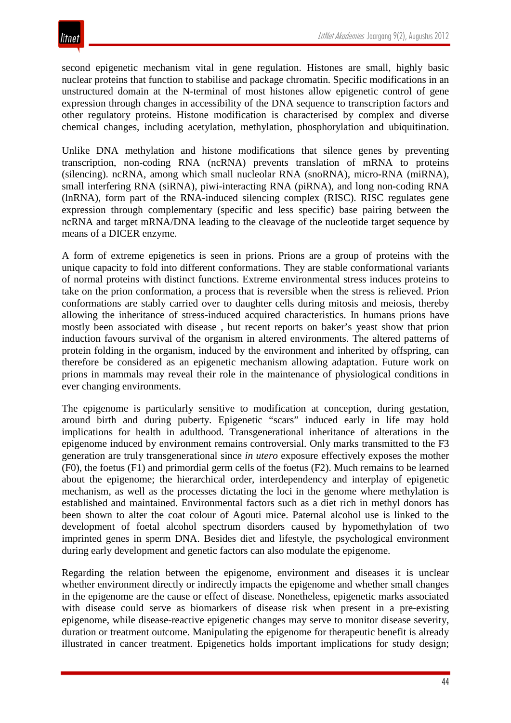second epigenetic mechanism vital in gene regulation. Histones are small, highly basic nuclear proteins that function to stabilise and package chromatin. Specific modifications in an unstructured domain at the N-terminal of most histones allow epigenetic control of gene expression through changes in accessibility of the DNA sequence to transcription factors and other regulatory proteins. Histone modification is characterised by complex and diverse chemical changes, including acetylation, methylation, phosphorylation and ubiquitination.

Unlike DNA methylation and histone modifications that silence genes by preventing transcription, non-coding RNA (ncRNA) prevents translation of mRNA to proteins (silencing). ncRNA, among which small nucleolar RNA (snoRNA), micro-RNA (miRNA), small interfering RNA (siRNA), piwi-interacting RNA (piRNA), and long non-coding RNA (lnRNA), form part of the RNA-induced silencing complex (RISC). RISC regulates gene expression through complementary (specific and less specific) base pairing between the ncRNA and target mRNA/DNA leading to the cleavage of the nucleotide target sequence by means of a DICER enzyme.

A form of extreme epigenetics is seen in prions. Prions are a group of proteins with the unique capacity to fold into different conformations. They are stable conformational variants of normal proteins with distinct functions. Extreme environmental stress induces proteins to take on the prion conformation, a process that is reversible when the stress is relieved. Prion conformations are stably carried over to daughter cells during mitosis and meiosis, thereby allowing the inheritance of stress-induced acquired characteristics. In humans prions have mostly been associated with disease , but recent reports on baker's yeast show that prion induction favours survival of the organism in altered environments. The altered patterns of protein folding in the organism, induced by the environment and inherited by offspring, can therefore be considered as an epigenetic mechanism allowing adaptation. Future work on prions in mammals may reveal their role in the maintenance of physiological conditions in ever changing environments.

The epigenome is particularly sensitive to modification at conception, during gestation, around birth and during puberty. Epigenetic "scars" induced early in life may hold implications for health in adulthood. Transgenerational inheritance of alterations in the epigenome induced by environment remains controversial. Only marks transmitted to the F3 generation are truly transgenerational since *in utero* exposure effectively exposes the mother (F0), the foetus (F1) and primordial germ cells of the foetus (F2). Much remains to be learned about the epigenome; the hierarchical order, interdependency and interplay of epigenetic mechanism, as well as the processes dictating the loci in the genome where methylation is established and maintained. Environmental factors such as a diet rich in methyl donors has been shown to alter the coat colour of Agouti mice. Paternal alcohol use is linked to the development of foetal alcohol spectrum disorders caused by hypomethylation of two imprinted genes in sperm DNA. Besides diet and lifestyle, the psychological environment during early development and genetic factors can also modulate the epigenome.

Regarding the relation between the epigenome, environment and diseases it is unclear whether environment directly or indirectly impacts the epigenome and whether small changes in the epigenome are the cause or effect of disease. Nonetheless, epigenetic marks associated with disease could serve as biomarkers of disease risk when present in a pre-existing epigenome, while disease-reactive epigenetic changes may serve to monitor disease severity, duration or treatment outcome. Manipulating the epigenome for therapeutic benefit is already illustrated in cancer treatment. Epigenetics holds important implications for study design;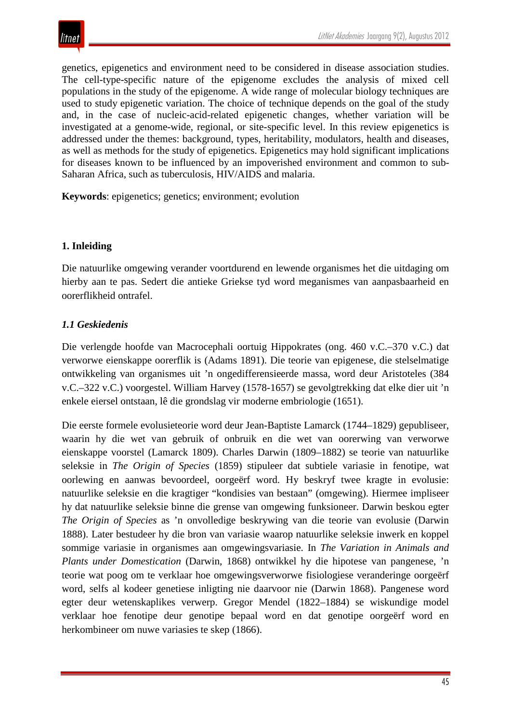genetics, epigenetics and environment need to be considered in disease association studies. The cell-type-specific nature of the epigenome excludes the analysis of mixed cell populations in the study of the epigenome. A wide range of molecular biology techniques are used to study epigenetic variation. The choice of technique depends on the goal of the study and, in the case of nucleic-acid-related epigenetic changes, whether variation will be investigated at a genome-wide, regional, or site-specific level. In this review epigenetics is addressed under the themes: background, types, heritability, modulators, health and diseases, as well as methods for the study of epigenetics. Epigenetics may hold significant implications for diseases known to be influenced by an impoverished environment and common to sub-Saharan Africa, such as tuberculosis, HIV/AIDS and malaria.

**Keywords**: epigenetics; genetics; environment; evolution

## **1. Inleiding**

Die natuurlike omgewing verander voortdurend en lewende organismes het die uitdaging om hierby aan te pas. Sedert die antieke Griekse tyd word meganismes van aanpasbaarheid en oorerflikheid ontrafel.

## *1.1 Geskiedenis*

Die verlengde hoofde van Macrocephali oortuig Hippokrates (ong. 460 v.C.–370 v.C.) dat verworwe eienskappe oorerflik is (Adams 1891). Die teorie van epigenese, die stelselmatige ontwikkeling van organismes uit 'n ongedifferensieerde massa, word deur Aristoteles (384 v.C.–322 v.C.) voorgestel. William Harvey (1578-1657) se gevolgtrekking dat elke dier uit 'n enkele eiersel ontstaan, lê die grondslag vir moderne embriologie (1651).

Die eerste formele evolusieteorie word deur Jean-Baptiste Lamarck (1744–1829) gepubliseer, waarin hy die wet van gebruik of onbruik en die wet van oorerwing van verworwe eienskappe voorstel (Lamarck 1809). Charles Darwin (1809–1882) se teorie van natuurlike seleksie in *The Origin of Species* (1859) stipuleer dat subtiele variasie in fenotipe, wat oorlewing en aanwas bevoordeel, oorgeërf word. Hy beskryf twee kragte in evolusie: natuurlike seleksie en die kragtiger "kondisies van bestaan" (omgewing). Hiermee impliseer hy dat natuurlike seleksie binne die grense van omgewing funksioneer. Darwin beskou egter *The Origin of Species* as 'n onvolledige beskrywing van die teorie van evolusie (Darwin 1888). Later bestudeer hy die bron van variasie waarop natuurlike seleksie inwerk en koppel sommige variasie in organismes aan omgewingsvariasie. In *The Variation in Animals and Plants under Domestication* (Darwin, 1868) ontwikkel hy die hipotese van pangenese, 'n teorie wat poog om te verklaar hoe omgewingsverworwe fisiologiese veranderinge oorgeërf word, selfs al kodeer genetiese inligting nie daarvoor nie (Darwin 1868). Pangenese word egter deur wetenskaplikes verwerp. Gregor Mendel (1822–1884) se wiskundige model verklaar hoe fenotipe deur genotipe bepaal word en dat genotipe oorgeërf word en herkombineer om nuwe variasies te skep (1866).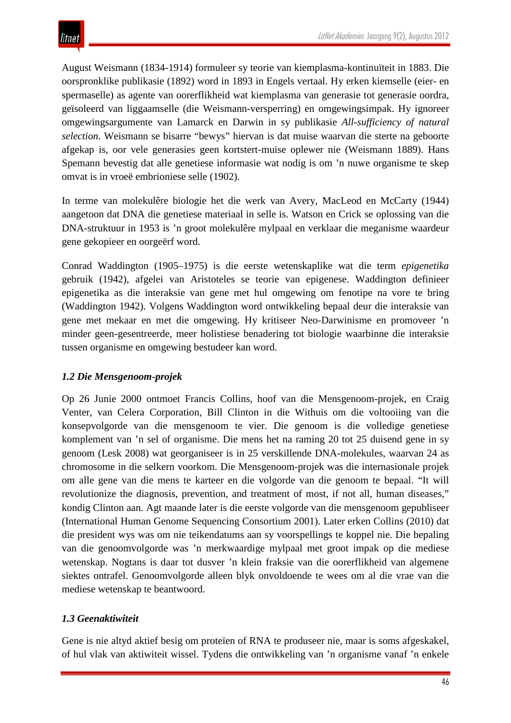August Weismann (1834-1914) formuleer sy teorie van kiemplasma-kontinuïteit in 1883. Die oorspronklike publikasie (1892) word in 1893 in Engels vertaal. Hy erken kiemselle (eier- en spermaselle) as agente van oorerflikheid wat kiemplasma van generasie tot generasie oordra, geïsoleerd van liggaamselle (die Weismann-versperring) en omgewingsimpak. Hy ignoreer omgewingsargumente van Lamarck en Darwin in sy publikasie *All-sufficiency of natural selection*. Weismann se bisarre "bewys" hiervan is dat muise waarvan die sterte na geboorte afgekap is, oor vele generasies geen kortstert-muise oplewer nie (Weismann 1889). Hans Spemann bevestig dat alle genetiese informasie wat nodig is om 'n nuwe organisme te skep omvat is in vroeë embrioniese selle (1902).

In terme van molekulêre biologie het die werk van Avery, MacLeod en McCarty (1944) aangetoon dat DNA die genetiese materiaal in selle is. Watson en Crick se oplossing van die DNA-struktuur in 1953 is 'n groot molekulêre mylpaal en verklaar die meganisme waardeur gene gekopieer en oorgeërf word.

Conrad Waddington (1905–1975) is die eerste wetenskaplike wat die term *epigenetika* gebruik (1942), afgelei van Aristoteles se teorie van epigenese. Waddington definieer epigenetika as die interaksie van gene met hul omgewing om fenotipe na vore te bring (Waddington 1942). Volgens Waddington word ontwikkeling bepaal deur die interaksie van gene met mekaar en met die omgewing. Hy kritiseer Neo-Darwinisme en promoveer 'n minder geen-gesentreerde, meer holistiese benadering tot biologie waarbinne die interaksie tussen organisme en omgewing bestudeer kan word.

# *1.2 Die Mensgenoom-projek*

Op 26 Junie 2000 ontmoet Francis Collins, hoof van die Mensgenoom-projek, en Craig Venter, van Celera Corporation, Bill Clinton in die Withuis om die voltooiing van die konsepvolgorde van die mensgenoom te vier. Die genoom is die volledige genetiese komplement van 'n sel of organisme. Die mens het na raming 20 tot 25 duisend gene in sy genoom (Lesk 2008) wat georganiseer is in 25 verskillende DNA-molekules, waarvan 24 as chromosome in die selkern voorkom. Die Mensgenoom-projek was die internasionale projek om alle gene van die mens te karteer en die volgorde van die genoom te bepaal. "It will revolutionize the diagnosis, prevention, and treatment of most, if not all, human diseases," kondig Clinton aan. Agt maande later is die eerste volgorde van die mensgenoom gepubliseer (International Human Genome Sequencing Consortium 2001). Later erken Collins (2010) dat die president wys was om nie teikendatums aan sy voorspellings te koppel nie. Die bepaling van die genoomvolgorde was 'n merkwaardige mylpaal met groot impak op die mediese wetenskap. Nogtans is daar tot dusver 'n klein fraksie van die oorerflikheid van algemene siektes ontrafel. Genoomvolgorde alleen blyk onvoldoende te wees om al die vrae van die mediese wetenskap te beantwoord.

# *1.3 Geenaktiwiteit*

Gene is nie altyd aktief besig om proteïen of RNA te produseer nie, maar is soms afgeskakel, of hul vlak van aktiwiteit wissel. Tydens die ontwikkeling van 'n organisme vanaf 'n enkele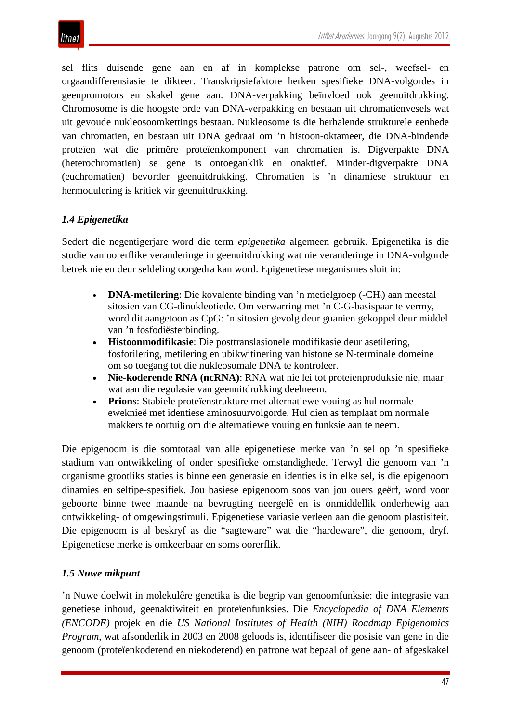sel flits duisende gene aan en af in komplekse patrone om sel-, weefsel- en orgaandifferensiasie te dikteer. Transkripsiefaktore herken spesifieke DNA-volgordes in geenpromotors en skakel gene aan. DNA-verpakking beïnvloed ook geenuitdrukking. Chromosome is die hoogste orde van DNA-verpakking en bestaan uit chromatienvesels wat uit gevoude nukleosoomkettings bestaan. Nukleosome is die herhalende strukturele eenhede van chromatien, en bestaan uit DNA gedraai om 'n histoon-oktameer, die DNA-bindende proteïen wat die primêre proteïenkomponent van chromatien is. Digverpakte DNA (heterochromatien) se gene is ontoeganklik en onaktief. Minder-digverpakte DNA (euchromatien) bevorder geenuitdrukking. Chromatien is 'n dinamiese struktuur en hermodulering is kritiek vir geenuitdrukking.

## *1.4 Epigenetika*

Sedert die negentigerjare word die term *epigenetika* algemeen gebruik. Epigenetika is die studie van oorerflike veranderinge in geenuitdrukking wat nie veranderinge in DNA-volgorde betrek nie en deur seldeling oorgedra kan word. Epigenetiese meganismes sluit in:

- **DNA-metilering**: Die kovalente binding van 'n metielgroep (-CH<sub>3</sub>) aan meestal sitosien van CG-dinukleotiede. Om verwarring met 'n C-G-basispaar te vermy, word dit aangetoon as CpG: 'n sitosien gevolg deur guanien gekoppel deur middel van 'n fosfodiësterbinding.
- **Histoonmodifikasie**: Die posttranslasionele modifikasie deur asetilering, fosforilering, metilering en ubikwitinering van histone se N-terminale domeine om so toegang tot die nukleosomale DNA te kontroleer.
- **Nie-koderende RNA (ncRNA)**: RNA wat nie lei tot proteïenproduksie nie, maar wat aan die regulasie van geenuitdrukking deelneem.
- **Prions**: Stabiele proteïenstrukture met alternatiewe vouing as hul normale eweknieë met identiese aminosuurvolgorde. Hul dien as templaat om normale makkers te oortuig om die alternatiewe vouing en funksie aan te neem.

Die epigenoom is die somtotaal van alle epigenetiese merke van 'n sel op 'n spesifieke stadium van ontwikkeling of onder spesifieke omstandighede. Terwyl die genoom van 'n organisme grootliks staties is binne een generasie en identies is in elke sel, is die epigenoom dinamies en seltipe-spesifiek. Jou basiese epigenoom soos van jou ouers geërf, word voor geboorte binne twee maande na bevrugting neergelê en is onmiddellik onderhewig aan ontwikkeling- of omgewingstimuli. Epigenetiese variasie verleen aan die genoom plastisiteit. Die epigenoom is al beskryf as die "sagteware" wat die "hardeware", die genoom, dryf. Epigenetiese merke is omkeerbaar en soms oorerflik.

## *1.5 Nuwe mikpunt*

'n Nuwe doelwit in molekulêre genetika is die begrip van genoomfunksie: die integrasie van genetiese inhoud, geenaktiwiteit en proteïenfunksies. Die *Encyclopedia of DNA Elements (ENCODE)* projek en die *US National Institutes of Health (NIH) Roadmap Epigenomics Program*, wat afsonderlik in 2003 en 2008 geloods is, identifiseer die posisie van gene in die genoom (proteïenkoderend en niekoderend) en patrone wat bepaal of gene aan- of afgeskakel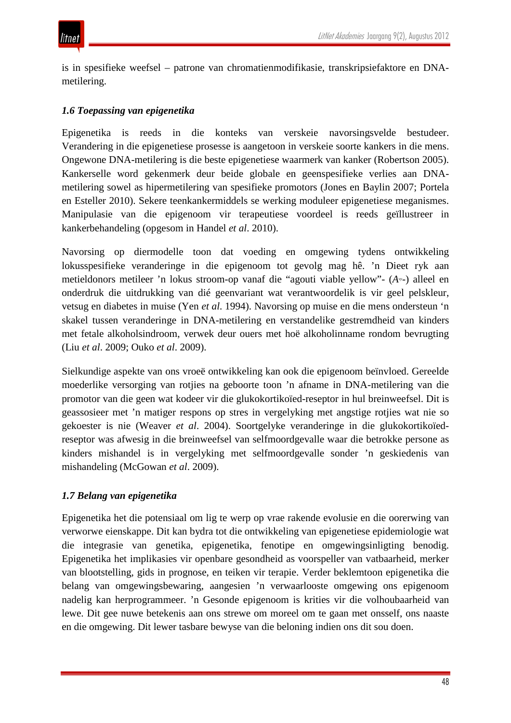is in spesifieke weefsel – patrone van chromatienmodifikasie, transkripsiefaktore en DNAmetilering.

#### *1.6 Toepassing van epigenetika*

Epigenetika is reeds in die konteks van verskeie navorsingsvelde bestudeer. Verandering in die epigenetiese prosesse is aangetoon in verskeie soorte kankers in die mens. Ongewone DNA-metilering is die beste epigenetiese waarmerk van kanker (Robertson 2005). Kankerselle word gekenmerk deur beide globale en geenspesifieke verlies aan DNAmetilering sowel as hipermetilering van spesifieke promotors (Jones en Baylin 2007; Portela en Esteller 2010). Sekere teenkankermiddels se werking moduleer epigenetiese meganismes. Manipulasie van die epigenoom vir terapeutiese voordeel is reeds geïllustreer in kankerbehandeling (opgesom in Handel *et al*. 2010).

Navorsing op diermodelle toon dat voeding en omgewing tydens ontwikkeling lokusspesifieke veranderinge in die epigenoom tot gevolg mag hê. 'n Dieet ryk aan metieldonors metileer 'n lokus stroom-op vanaf die "agouti viable yellow"- (*Avy*-) alleel en onderdruk die uitdrukking van dié geenvariant wat verantwoordelik is vir geel pelskleur, vetsug en diabetes in muise (Yen *et al*. 1994). Navorsing op muise en die mens ondersteun 'n skakel tussen veranderinge in DNA-metilering en verstandelike gestremdheid van kinders met fetale alkoholsindroom, verwek deur ouers met hoë alkoholinname rondom bevrugting (Liu *et al*. 2009; Ouko *et al*. 2009).

Sielkundige aspekte van ons vroeë ontwikkeling kan ook die epigenoom beïnvloed. Gereelde moederlike versorging van rotjies na geboorte toon 'n afname in DNA-metilering van die promotor van die geen wat kodeer vir die glukokortikoïed-reseptor in hul breinweefsel. Dit is geassosieer met 'n matiger respons op stres in vergelyking met angstige rotjies wat nie so gekoester is nie (Weaver *et al*. 2004). Soortgelyke veranderinge in die glukokortikoïedreseptor was afwesig in die breinweefsel van selfmoordgevalle waar die betrokke persone as kinders mishandel is in vergelyking met selfmoordgevalle sonder 'n geskiedenis van mishandeling (McGowan *et al*. 2009).

## *1.7 Belang van epigenetika*

Epigenetika het die potensiaal om lig te werp op vrae rakende evolusie en die oorerwing van verworwe eienskappe. Dit kan bydra tot die ontwikkeling van epigenetiese epidemiologie wat die integrasie van genetika, epigenetika, fenotipe en omgewingsinligting benodig. Epigenetika het implikasies vir openbare gesondheid as voorspeller van vatbaarheid, merker van blootstelling, gids in prognose, en teiken vir terapie. Verder beklemtoon epigenetika die belang van omgewingsbewaring, aangesien 'n verwaarlooste omgewing ons epigenoom nadelig kan herprogrammeer. 'n Gesonde epigenoom is krities vir die volhoubaarheid van lewe. Dit gee nuwe betekenis aan ons strewe om moreel om te gaan met onsself, ons naaste en die omgewing. Dit lewer tasbare bewyse van die beloning indien ons dit sou doen.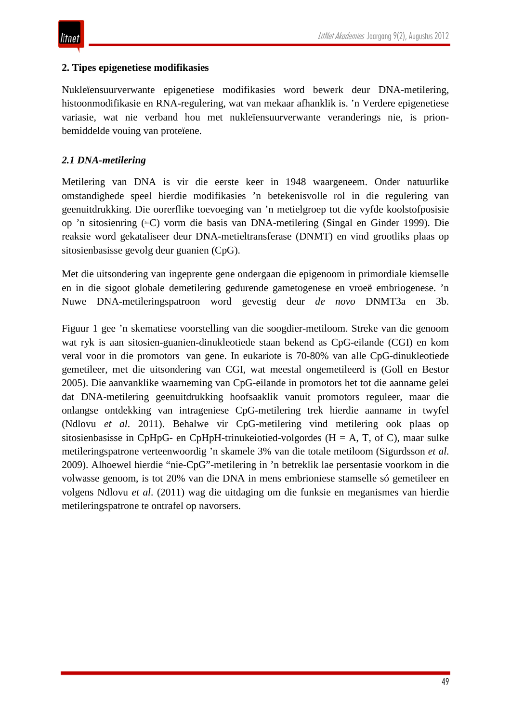#### **2. Tipes epigenetiese modifikasies**

Nukleïensuurverwante epigenetiese modifikasies word bewerk deur DNA-metilering, histoonmodifikasie en RNA-regulering, wat van mekaar afhanklik is. 'n Verdere epigenetiese variasie, wat nie verband hou met nukleïensuurverwante veranderings nie, is prionbemiddelde vouing van proteïene.

### *2.1 DNA-metilering*

Metilering van DNA is vir die eerste keer in 1948 waargeneem. Onder natuurlike omstandighede speel hierdie modifikasies 'n betekenisvolle rol in die regulering van geenuitdrukking. Die oorerflike toevoeging van 'n metielgroep tot die vyfde koolstofposisie op 'n sitosienring (5mC) vorm die basis van DNA-metilering (Singal en Ginder 1999). Die reaksie word gekataliseer deur DNA-metieltransferase (DNMT) en vind grootliks plaas op sitosienbasisse gevolg deur guanien (CpG).

Met die uitsondering van ingeprente gene ondergaan die epigenoom in primordiale kiemselle en in die sigoot globale demetilering gedurende gametogenese en vroeë embriogenese. 'n Nuwe DNA-metileringspatroon word gevestig deur *de novo* DNMT3a en 3b.

Figuur 1 gee 'n skematiese voorstelling van die soogdier-metiloom. Streke van die genoom wat ryk is aan sitosien-guanien-dinukleotiede staan bekend as CpG-eilande (CGI) en kom veral voor in die promotors van gene. In eukariote is 70-80% van alle CpG-dinukleotiede gemetileer, met die uitsondering van CGI, wat meestal ongemetileerd is (Goll en Bestor 2005). Die aanvanklike waarneming van CpG-eilande in promotors het tot die aanname gelei dat DNA-metilering geenuitdrukking hoofsaaklik vanuit promotors reguleer, maar die onlangse ontdekking van intrageniese CpG-metilering trek hierdie aanname in twyfel (Ndlovu *et al*. 2011). Behalwe vir CpG-metilering vind metilering ook plaas op sitosienbasisse in CpHpG- en CpHpH-trinukeiotied-volgordes ( $H = A$ , T, of C), maar sulke metileringspatrone verteenwoordig 'n skamele 3% van die totale metiloom (Sigurdsson *et al*. 2009). Alhoewel hierdie "nie-CpG"-metilering in 'n betreklik lae persentasie voorkom in die volwasse genoom, is tot 20% van die DNA in mens embrioniese stamselle só gemetileer en volgens Ndlovu *et al*. (2011) wag die uitdaging om die funksie en meganismes van hierdie metileringspatrone te ontrafel op navorsers.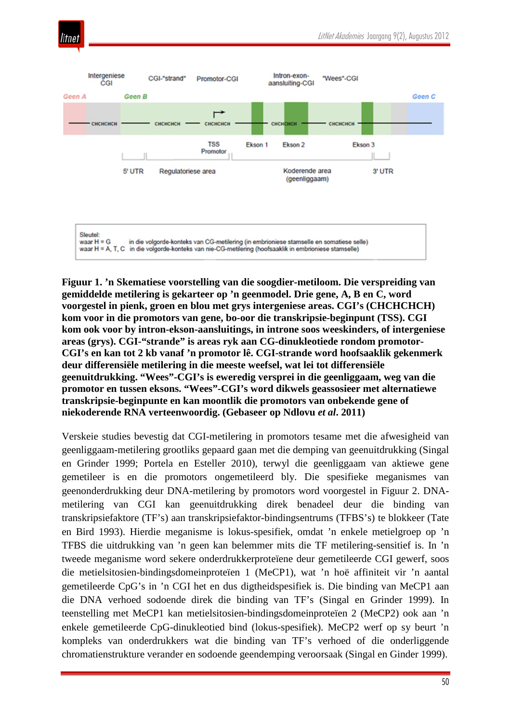



**Figuur 1. 'n Skematiese voorstelling van die soogdier-metiloom. Die verspreiding van gemiddelde metilering is gekarteer op 'n geenmodel. Drie gene, A, B en C, word voorgestel in pienk, groen en blou met grys intergeniese areas. CGI's (CHCHCHCH) kom voor in die promotors van gene, bo-oor die transkripsie-beginpunt (TSS). CGI kom ook voor by intron-ekson-aansluitings, in introne soos weeskinders, of intergeniese areas (grys). CGI-"strande" is areas ryk aan CG-dinukleotiede rondom promotor-CGI's en kan tot 2 kb vanaf 'n promotor lê. CGI-strande word hoofsaaklik gekenmerk deur differensiële metilering in die meeste weefsel, wat lei tot differensiële geenuitdrukking. "Wees"-CGI's is eweredig versprei in die geenliggaam, weg van die promotor en tussen eksons. "Wees"-CGI's word dikwels geassosieer met alternatiewe transkripsie-beginpunte en kan moontlik die promotors van onbekende gene of niekoderende RNA verteenwoordig. (Gebaseer op Ndlovu** *et al***. 2011)**

Verskeie studies bevestig dat CGI-metilering in promotors tesame met die afwesigheid van geenliggaam-metilering grootliks gepaard gaan met die demping van geenuitdrukking (Singal en Grinder 1999; Portela en Esteller 2010), terwyl die geenliggaam van aktiewe gene gemetileer is en die promotors ongemetileerd bly. Die spesifieke meganismes van geenonderdrukking deur DNA-metilering by promotors word voorgestel in Figuur 2. DNAmetilering van CGI kan geenuitdrukking direk benadeel deur die binding van transkripsiefaktore (TF's) aan transkripsiefaktor-bindingsentrums (TFBS's) te blokkeer (Tate en Bird 1993). Hierdie meganisme is lokus-spesifiek, omdat 'n enkele metielgroep op 'n TFBS die uitdrukking van 'n geen kan belemmer mits die TF metilering-sensitief is. In 'n tweede meganisme word sekere onderdrukkerproteïene deur gemetileerde CGI gewerf, soos die metielsitosien-bindingsdomeinproteïen 1 (MeCP1), wat 'n hoë affiniteit vir 'n aantal gemetileerde CpG's in 'n CGI het en dus digtheidspesifiek is. Die binding van MeCP1 aan die DNA verhoed sodoende direk die binding van TF's (Singal en Grinder 1999). In teenstelling met MeCP1 kan metielsitosien-bindingsdomeinproteïen 2 (MeCP2) ook aan 'n enkele gemetileerde CpG-dinukleotied bind (lokus-spesifiek). MeCP2 werf op sy beurt 'n kompleks van onderdrukkers wat die binding van TF's verhoed of die onderliggende chromatienstrukture verander en sodoende geendemping veroorsaak (Singal en Ginder 1999).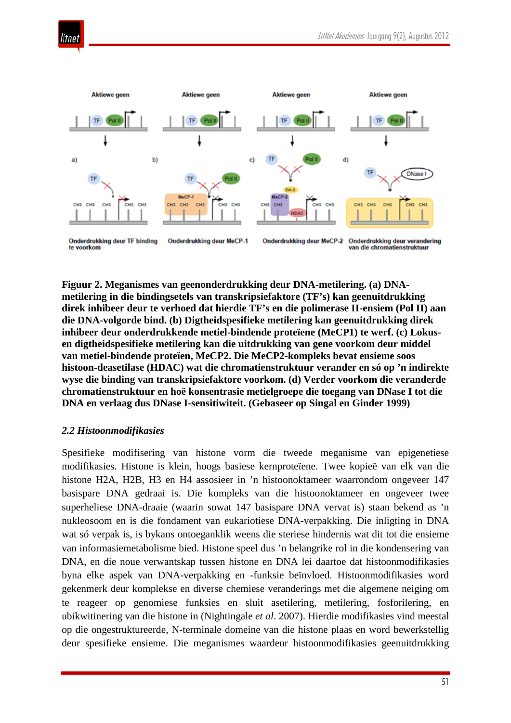

**Figuur 2. Meganismes van geenonderdrukking deur DNA-metilering. (a) DNAmetilering in die bindingsetels van transkripsiefaktore (TF's) kan geenuitdrukking direk inhibeer deur te verhoed dat hierdie TF's en die polimerase II-ensiem (Pol II) aan die DNA-volgorde bind. (b) Digtheidspesifieke metilering kan geenuitdrukking direk inhibeer deur onderdrukkende metiel-bindende proteïene (MeCP1) te werf. (c) Lokusen digtheidspesifieke metilering kan die uitdrukking van gene voorkom deur middel van metiel-bindende proteïen, MeCP2. Die MeCP2-kompleks bevat ensieme soos histoon-deasetilase (HDAC) wat die chromatienstruktuur verander en só op 'n indirekte wyse die binding van transkripsiefaktore voorkom. (d) Verder voorkom die veranderde chromatienstruktuur en hoë konsentrasie metielgroepe die toegang van DNase I tot die DNA en verlaag dus DNase I-sensitiwiteit. (Gebaseer op Singal en Ginder 1999)**

#### *2.2 Histoonmodifikasies*

Spesifieke modifisering van histone vorm die tweede meganisme van epigenetiese modifikasies. Histone is klein, hoogs basiese kernproteïene. Twee kopieë van elk van die histone H2A, H2B, H3 en H4 assosieer in 'n histoonoktameer waarrondom ongeveer 147 basispare DNA gedraai is. Die kompleks van die histoonoktameer en ongeveer twee superheliese DNA-draaie (waarin sowat 147 basispare DNA vervat is) staan bekend as 'n nukleosoom en is die fondament van eukariotiese DNA-verpakking. Die inligting in DNA wat só verpak is, is bykans ontoeganklik weens die steriese hindernis wat dit tot die ensieme van informasiemetabolisme bied. Histone speel dus 'n belangrike rol in die kondensering van DNA, en die noue verwantskap tussen histone en DNA lei daartoe dat histoonmodifikasies byna elke aspek van DNA-verpakking en -funksie beïnvloed. Histoonmodifikasies word gekenmerk deur komplekse en diverse chemiese veranderings met die algemene neiging om te reageer op genomiese funksies en sluit asetilering, metilering, fosforilering, en ubikwitinering van die histone in (Nightingale *et al*. 2007). Hierdie modifikasies vind meestal op die ongestruktureerde, N-terminale domeine van die histone plaas en word bewerkstellig deur spesifieke ensieme. Die meganismes waardeur histoonmodifikasies geenuitdrukking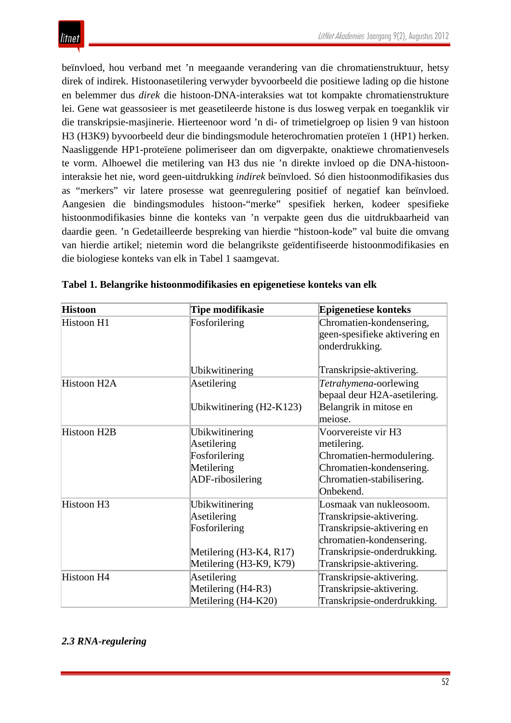beïnvloed, hou verband met 'n meegaande verandering van die chromatienstruktuur, hetsy direk of indirek. Histoonasetilering verwyder byvoorbeeld die positiewe lading op die histone en belemmer dus *direk* die histoon-DNA-interaksies wat tot kompakte chromatienstrukture lei. Gene wat geassosieer is met geasetileerde histone is dus losweg verpak en toeganklik vir die transkripsie-masjinerie. Hierteenoor word 'n di- of trimetielgroep op lisien 9 van histoon H3 (H3K9) byvoorbeeld deur die bindingsmodule heterochromatien proteïen 1 (HP1) herken. Naasliggende HP1-proteïene polimeriseer dan om digverpakte, onaktiewe chromatienvesels te vorm. Alhoewel die metilering van H3 dus nie 'n direkte invloed op die DNA-histooninteraksie het nie, word geen-uitdrukking *indirek* beïnvloed. Só dien histoonmodifikasies dus as "merkers" vir latere prosesse wat geenregulering positief of negatief kan beïnvloed. Aangesien die bindingsmodules histoon-"merke" spesifiek herken, kodeer spesifieke histoonmodifikasies binne die konteks van 'n verpakte geen dus die uitdrukbaarheid van daardie geen. 'n Gedetailleerde bespreking van hierdie "histoon-kode" val buite die omvang van hierdie artikel; nietemin word die belangrikste geïdentifiseerde histoonmodifikasies en die biologiese konteks van elk in Tabel 1 saamgevat.

| <b>Histoon</b>         | Tipe modifikasie                                                                                     | <b>Epigenetiese konteks</b>                                                                                                                                              |
|------------------------|------------------------------------------------------------------------------------------------------|--------------------------------------------------------------------------------------------------------------------------------------------------------------------------|
| Histoon H1             | Fosforilering                                                                                        | Chromatien-kondensering,<br>geen-spesifieke aktivering en<br>onderdrukking.                                                                                              |
|                        | Ubikwitinering                                                                                       | Transkripsie-aktivering.                                                                                                                                                 |
| Histoon H2A            | Asetilering                                                                                          | Tetrahymena-oorlewing<br>bepaal deur H2A-asetilering.                                                                                                                    |
|                        | Ubikwitinering (H2-K123)                                                                             | Belangrik in mitose en<br>meiose.                                                                                                                                        |
| <b>Histoon H2B</b>     | Ubikwitinering<br>Asetilering<br>Fosforilering<br>Metilering<br>ADF-ribosilering                     | Voorvereiste vir H3<br>metilering.<br>Chromatien-hermodulering.<br>Chromatien-kondensering.<br>Chromatien-stabilisering.<br>Onbekend.                                    |
| Histoon H <sub>3</sub> | Ubikwitinering<br>Asetilering<br>Fosforilering<br>Metilering (H3-K4, R17)<br>Metilering (H3-K9, K79) | Losmaak van nukleosoom.<br>Transkripsie-aktivering.<br>Transkripsie-aktivering en<br>chromatien-kondensering.<br>Transkripsie-onderdrukking.<br>Transkripsie-aktivering. |
| Histoon H4             | Asetilering<br>Metilering (H4-R3)<br>Metilering (H4-K20)                                             | Transkripsie-aktivering.<br>Transkripsie-aktivering.<br>Transkripsie-onderdrukking.                                                                                      |

|  | Tabel 1. Belangrike histoonmodifikasies en epigenetiese konteks van elk |  |  |
|--|-------------------------------------------------------------------------|--|--|
|--|-------------------------------------------------------------------------|--|--|

# *2.3 RNA-regulering*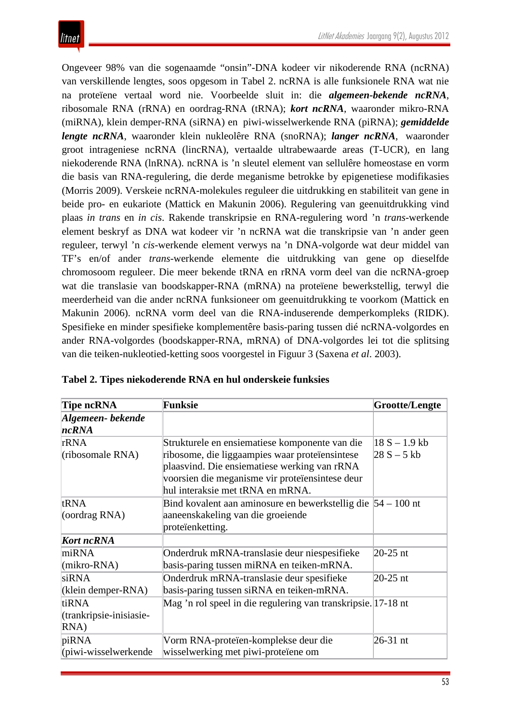Ongeveer 98% van die sogenaamde "onsin"-DNA kodeer vir nikoderende RNA (ncRNA) van verskillende lengtes, soos opgesom in Tabel 2. ncRNA is alle funksionele RNA wat nie na proteïene vertaal word nie. Voorbeelde sluit in: die *algemeen-bekende ncRNA*, ribosomale RNA (rRNA) en oordrag-RNA (tRNA); *kort ncRNA*, waaronder mikro-RNA (miRNA), klein demper-RNA (siRNA) en piwi-wisselwerkende RNA (piRNA); *gemiddelde lengte ncRNA*, waaronder klein nukleolêre RNA (snoRNA); *langer ncRNA*, waaronder groot intrageniese ncRNA (lincRNA), vertaalde ultrabewaarde areas (T-UCR), en lang niekoderende RNA (lnRNA). ncRNA is 'n sleutel element van sellulêre homeostase en vorm die basis van RNA-regulering, die derde meganisme betrokke by epigenetiese modifikasies (Morris 2009). Verskeie ncRNA-molekules reguleer die uitdrukking en stabiliteit van gene in beide pro- en eukariote (Mattick en Makunin 2006). Regulering van geenuitdrukking vind plaas *in trans* en *in cis*. Rakende transkripsie en RNA-regulering word 'n *trans*-werkende element beskryf as DNA wat kodeer vir 'n ncRNA wat die transkripsie van 'n ander geen reguleer, terwyl 'n *cis*-werkende element verwys na 'n DNA-volgorde wat deur middel van TF's en/of ander *trans*-werkende elemente die uitdrukking van gene op dieselfde chromosoom reguleer. Die meer bekende tRNA en rRNA vorm deel van die ncRNA-groep wat die translasie van boodskapper-RNA (mRNA) na proteïene bewerkstellig, terwyl die meerderheid van die ander ncRNA funksioneer om geenuitdrukking te voorkom (Mattick en Makunin 2006). ncRNA vorm deel van die RNA-induserende demperkompleks (RIDK). Spesifieke en minder spesifieke komplementêre basis-paring tussen dié ncRNA-volgordes en ander RNA-volgordes (boodskapper-RNA, mRNA) of DNA-volgordes lei tot die splitsing van die teiken-nukleotied-ketting soos voorgestel in Figuur 3 (Saxena *et al*. 2003).

| <b>Tipe ncRNA</b>                        | <b>Funksie</b>                                                                                                                                                                                                                          | Grootte/Lengte                   |
|------------------------------------------|-----------------------------------------------------------------------------------------------------------------------------------------------------------------------------------------------------------------------------------------|----------------------------------|
| Algemeen-bekende<br>ncRNA                |                                                                                                                                                                                                                                         |                                  |
| rRNA<br>(ribosomale RNA)                 | Strukturele en ensiematiese komponente van die<br>ribosome, die liggaampies waar proteïensintese<br>plaasvind. Die ensiematiese werking van rRNA<br>voorsien die meganisme vir proteïensintese deur<br>hul interaksie met tRNA en mRNA. | $18 S - 1.9 kb$<br>$28 S - 5 kb$ |
| tRNA<br>(oordrag RNA)                    | Bind kovalent aan aminosure en bewerkstellig die $54 - 100$ nt<br>aaneenskakeling van die groeiende<br>proteïenketting.                                                                                                                 |                                  |
| <b>Kort ncRNA</b>                        |                                                                                                                                                                                                                                         |                                  |
| miRNA<br>(mikro-RNA)                     | Onderdruk mRNA-translasie deur niespesifieke<br>basis-paring tussen miRNA en teiken-mRNA.                                                                                                                                               | 20-25 nt                         |
| siRNA<br>(klein demper-RNA)              | Onderdruk mRNA-translasie deur spesifieke<br>basis-paring tussen siRNA en teiken-mRNA.                                                                                                                                                  | 20-25 nt                         |
| tiRNA<br>(trankripsie-inisiasie-<br>RNA) | Mag 'n rol speel in die regulering van transkripsie. 17-18 nt                                                                                                                                                                           |                                  |
| piRNA<br>(piwi-wisselwerkende            | Vorm RNA-proteïen-komplekse deur die<br>wisselwerking met piwi-proteïene om                                                                                                                                                             | 26-31 nt                         |

|  |  | Tabel 2. Tipes niekoderende RNA en hul onderskeie funksies |  |  |  |  |  |  |  |  |
|--|--|------------------------------------------------------------|--|--|--|--|--|--|--|--|
|--|--|------------------------------------------------------------|--|--|--|--|--|--|--|--|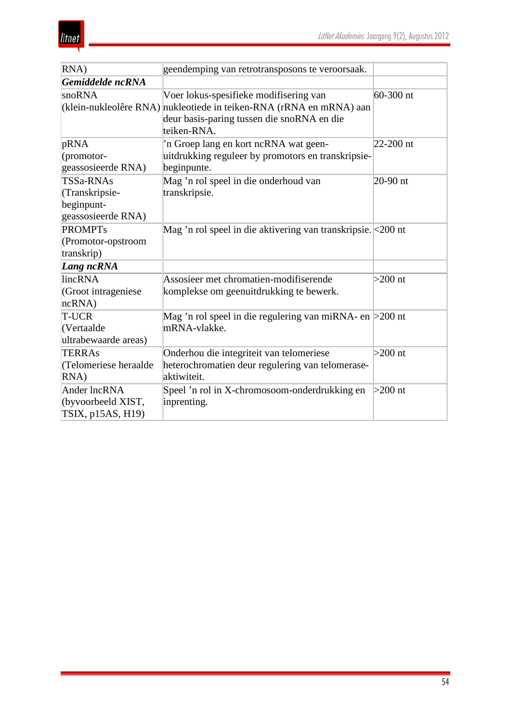| RNA)                                                            | geendemping van retrotransposons te veroorsaak.                                                                                                                            |               |
|-----------------------------------------------------------------|----------------------------------------------------------------------------------------------------------------------------------------------------------------------------|---------------|
| Gemiddelde ncRNA                                                |                                                                                                                                                                            |               |
| snoRNA                                                          | Voer lokus-spesifieke modifisering van<br>(klein-nukleolêre RNA) nukleotiede in teiken-RNA (rRNA en mRNA) aan<br>deur basis-paring tussen die snoRNA en die<br>teiken-RNA. | $60 - 300$ nt |
| pRNA<br>(promotor-<br>geassosieerde RNA)                        | 'n Groep lang en kort ncRNA wat geen-<br>uitdrukking reguleer by promotors en transkripsie-<br>beginpunte.                                                                 | $22 - 200$ nt |
| TSSa-RNAs<br>(Transkripsie-<br>beginpunt-<br>geassosieerde RNA) | Mag 'n rol speel in die onderhoud van<br>transkripsie.                                                                                                                     | $20-90$ nt    |
| <b>PROMPTs</b><br>(Promotor-opstroom<br>transkrip)              | Mag 'n rol speel in die aktivering van transkripsie. < 200 nt                                                                                                              |               |
| Lang ncRNA                                                      |                                                                                                                                                                            |               |
| lincRNA<br>(Groot intrageniese<br>ncRNA)                        | Assosieer met chromatien-modifiserende<br>komplekse om geenuitdrukking te bewerk.                                                                                          | $>200$ nt     |
| T-UCR<br>(Vertaalde<br>ultrabewaarde areas)                     | Mag 'n rol speel in die regulering van miRNA- en $>200$ nt<br>mRNA-vlakke.                                                                                                 |               |
| <b>TERRAs</b><br>(Telomeriese heraalde<br>RNA)                  | Onderhou die integriteit van telomeriese<br>heterochromatien deur regulering van telomerase-<br>aktiwiteit.                                                                | $>200$ nt     |
| Ander lncRNA<br>(byvoorbeeld XIST,<br>TSIX, p15AS, H19)         | Speel 'n rol in X-chromosoom-onderdrukking en<br>inprenting.                                                                                                               | $>200$ nt     |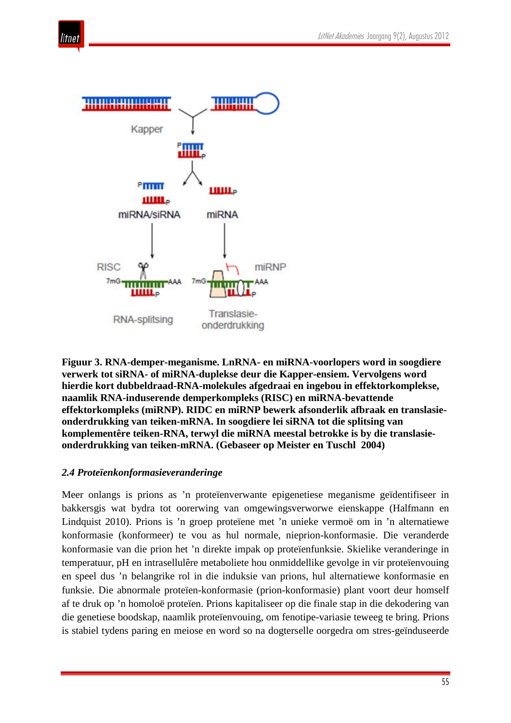



**Figuur 3. RNA-demper-meganisme. LnRNA- en miRNA-voorlopers word in soogdiere verwerk tot siRNA- of miRNA-duplekse deur die Kapper-ensiem. Vervolgens word hierdie kort dubbeldraad-RNA-molekules afgedraai en ingebou in effektorkomplekse, naamlik RNA-induserende demperkompleks (RISC) en miRNA-bevattende effektorkompleks (miRNP). RIDC en miRNP bewerk afsonderlik afbraak en translasieonderdrukking van teiken-mRNA. In soogdiere lei siRNA tot die splitsing van komplementêre teiken-RNA, terwyl die miRNA meestal betrokke is by die translasieonderdrukking van teiken-mRNA. (Gebaseer op Meister en Tuschl 2004)**

#### *2.4 Proteïenkonformasieveranderinge*

Meer onlangs is prions as 'n proteïenverwante epigenetiese meganisme geïdentifiseer in bakkersgis wat bydra tot oorerwing van omgewingsverworwe eienskappe (Halfmann en Lindquist 2010). Prions is 'n groep proteïene met 'n unieke vermoë om in 'n alternatiewe konformasie (konformeer) te vou as hul normale, nieprion-konformasie. Die veranderde konformasie van die prion het 'n direkte impak op proteïenfunksie. Skielike veranderinge in temperatuur, pH en intrasellulêre metaboliete hou onmiddellike gevolge in vir proteïenvouing en speel dus 'n belangrike rol in die induksie van prions, hul alternatiewe konformasie en funksie. Die abnormale proteïen-konformasie (prion-konformasie) plant voort deur homself af te druk op 'n homoloë proteïen. Prions kapitaliseer op die finale stap in die dekodering van die genetiese boodskap, naamlik proteïenvouing, om fenotipe-variasie teweeg te bring. Prions is stabiel tydens paring en meiose en word so na dogterselle oorgedra om stres-geïnduseerde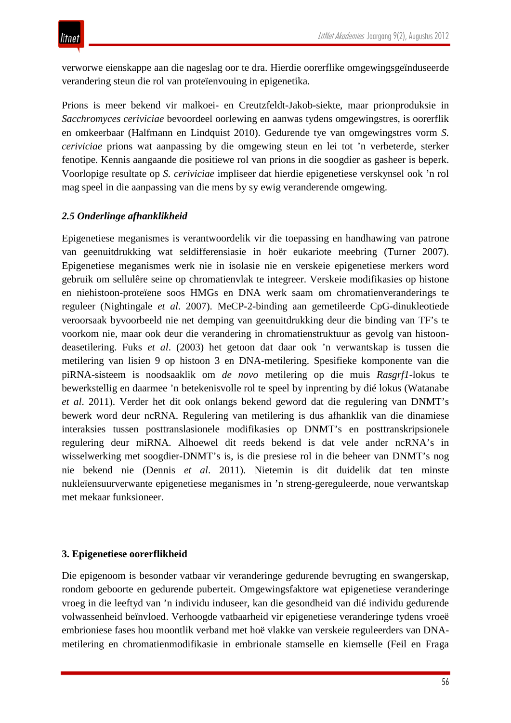verworwe eienskappe aan die nageslag oor te dra. Hierdie oorerflike omgewingsgeïnduseerde verandering steun die rol van proteïenvouing in epigenetika.

Prions is meer bekend vir malkoei- en Creutzfeldt-Jakob-siekte, maar prionproduksie in *Sacchromyces ceriviciae* bevoordeel oorlewing en aanwas tydens omgewingstres, is oorerflik en omkeerbaar (Halfmann en Lindquist 2010). Gedurende tye van omgewingstres vorm *S. ceriviciae* prions wat aanpassing by die omgewing steun en lei tot 'n verbeterde, sterker fenotipe. Kennis aangaande die positiewe rol van prions in die soogdier as gasheer is beperk. Voorlopige resultate op *S. ceriviciae* impliseer dat hierdie epigenetiese verskynsel ook 'n rol mag speel in die aanpassing van die mens by sy ewig veranderende omgewing.

## *2.5 Onderlinge afhanklikheid*

Epigenetiese meganismes is verantwoordelik vir die toepassing en handhawing van patrone van geenuitdrukking wat seldifferensiasie in hoër eukariote meebring (Turner 2007). Epigenetiese meganismes werk nie in isolasie nie en verskeie epigenetiese merkers word gebruik om sellulêre seine op chromatienvlak te integreer. Verskeie modifikasies op histone en niehistoon-proteïene soos HMGs en DNA werk saam om chromatienveranderings te reguleer (Nightingale *et al*. 2007). MeCP-2-binding aan gemetileerde CpG-dinukleotiede veroorsaak byvoorbeeld nie net demping van geenuitdrukking deur die binding van TF's te voorkom nie, maar ook deur die verandering in chromatienstruktuur as gevolg van histoondeasetilering. Fuks *et al*. (2003) het getoon dat daar ook 'n verwantskap is tussen die metilering van lisien 9 op histoon 3 en DNA-metilering. Spesifieke komponente van die piRNA-sisteem is noodsaaklik om *de novo* metilering op die muis *Rasgrf1*-lokus te bewerkstellig en daarmee 'n betekenisvolle rol te speel by inprenting by dié lokus (Watanabe *et al*. 2011). Verder het dit ook onlangs bekend geword dat die regulering van DNMT's bewerk word deur ncRNA. Regulering van metilering is dus afhanklik van die dinamiese interaksies tussen posttranslasionele modifikasies op DNMT's en posttranskripsionele regulering deur miRNA. Alhoewel dit reeds bekend is dat vele ander ncRNA's in wisselwerking met soogdier-DNMT's is, is die presiese rol in die beheer van DNMT's nog nie bekend nie (Dennis *et al*. 2011). Nietemin is dit duidelik dat ten minste nukleïensuurverwante epigenetiese meganismes in 'n streng-gereguleerde, noue verwantskap met mekaar funksioneer.

## **3. Epigenetiese oorerflikheid**

Die epigenoom is besonder vatbaar vir veranderinge gedurende bevrugting en swangerskap, rondom geboorte en gedurende puberteit. Omgewingsfaktore wat epigenetiese veranderinge vroeg in die leeftyd van 'n individu induseer, kan die gesondheid van dié individu gedurende volwassenheid beïnvloed. Verhoogde vatbaarheid vir epigenetiese veranderinge tydens vroeë embrioniese fases hou moontlik verband met hoë vlakke van verskeie reguleerders van DNAmetilering en chromatienmodifikasie in embrionale stamselle en kiemselle (Feil en Fraga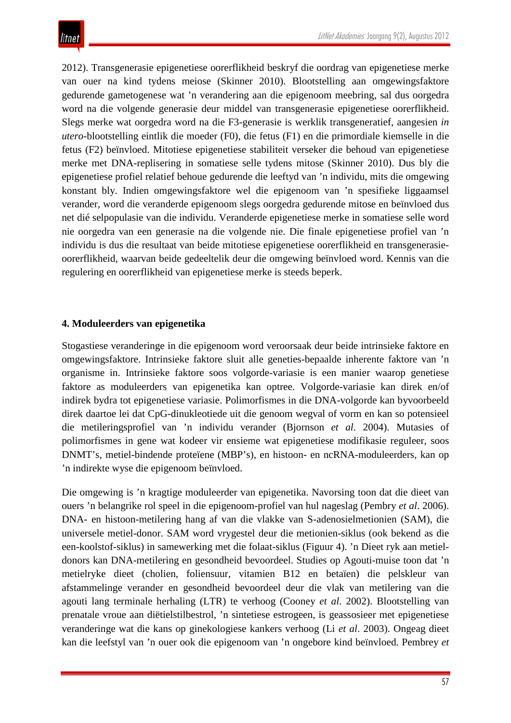2012). Transgenerasie epigenetiese oorerflikheid beskryf die oordrag van epigenetiese merke van ouer na kind tydens meiose (Skinner 2010). Blootstelling aan omgewingsfaktore gedurende gametogenese wat 'n verandering aan die epigenoom meebring, sal dus oorgedra word na die volgende generasie deur middel van transgenerasie epigenetiese oorerflikheid. Slegs merke wat oorgedra word na die F3-generasie is werklik transgeneratief, aangesien *in utero*-blootstelling eintlik die moeder (F0), die fetus (F1) en die primordiale kiemselle in die fetus (F2) beïnvloed. Mitotiese epigenetiese stabiliteit verseker die behoud van epigenetiese merke met DNA-replisering in somatiese selle tydens mitose (Skinner 2010). Dus bly die epigenetiese profiel relatief behoue gedurende die leeftyd van 'n individu, mits die omgewing konstant bly. Indien omgewingsfaktore wel die epigenoom van 'n spesifieke liggaamsel verander, word die veranderde epigenoom slegs oorgedra gedurende mitose en beïnvloed dus net dié selpopulasie van die individu. Veranderde epigenetiese merke in somatiese selle word nie oorgedra van een generasie na die volgende nie. Die finale epigenetiese profiel van 'n individu is dus die resultaat van beide mitotiese epigenetiese oorerflikheid en transgenerasieoorerflikheid, waarvan beide gedeeltelik deur die omgewing beïnvloed word. Kennis van die regulering en oorerflikheid van epigenetiese merke is steeds beperk.

#### **4. Moduleerders van epigenetika**

Stogastiese veranderinge in die epigenoom word veroorsaak deur beide intrinsieke faktore en omgewingsfaktore. Intrinsieke faktore sluit alle geneties-bepaalde inherente faktore van 'n organisme in. Intrinsieke faktore soos volgorde-variasie is een manier waarop genetiese faktore as moduleerders van epigenetika kan optree. Volgorde-variasie kan direk en/of indirek bydra tot epigenetiese variasie. Polimorfismes in die DNA-volgorde kan byvoorbeeld direk daartoe lei dat CpG-dinukleotiede uit die genoom wegval of vorm en kan so potensieel die metileringsprofiel van 'n individu verander (Bjornson *et al*. 2004). Mutasies of polimorfismes in gene wat kodeer vir ensieme wat epigenetiese modifikasie reguleer, soos DNMT's, metiel-bindende proteïene (MBP's), en histoon- en ncRNA-moduleerders, kan op 'n indirekte wyse die epigenoom beïnvloed.

Die omgewing is 'n kragtige moduleerder van epigenetika. Navorsing toon dat die dieet van ouers 'n belangrike rol speel in die epigenoom-profiel van hul nageslag (Pembry *et al*. 2006). DNA- en histoon-metilering hang af van die vlakke van S-adenosielmetionien (SAM), die universele metiel-donor. SAM word vrygestel deur die metionien-siklus (ook bekend as die een-koolstof-siklus) in samewerking met die folaat-siklus (Figuur 4). 'n Dieet ryk aan metieldonors kan DNA-metilering en gesondheid bevoordeel. Studies op Agouti-muise toon dat 'n metielryke dieet (cholien, foliensuur, vitamien B12 en betaïen) die pelskleur van afstammelinge verander en gesondheid bevoordeel deur die vlak van metilering van die agouti lang terminale herhaling (LTR) te verhoog (Cooney *et al*. 2002). Blootstelling van prenatale vroue aan diëtielstilbestrol, 'n sintetiese estrogeen, is geassosieer met epigenetiese veranderinge wat die kans op ginekologiese kankers verhoog (Li *et al*. 2003). Ongeag dieet kan die leefstyl van 'n ouer ook die epigenoom van 'n ongebore kind beïnvloed. Pembrey *et*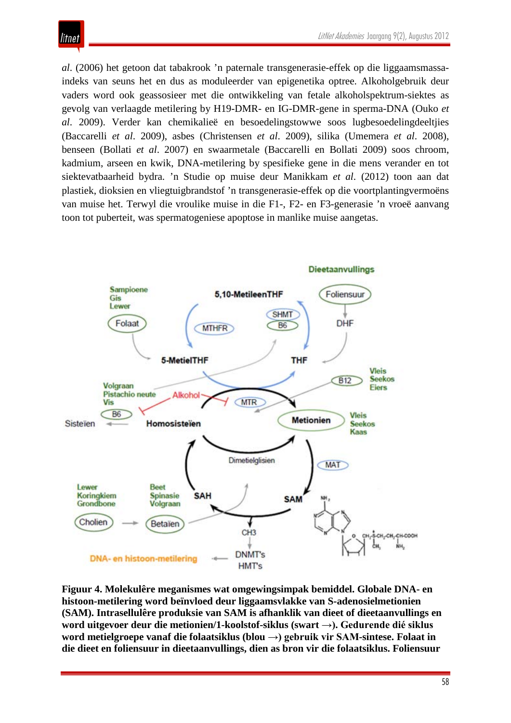

*al*. (2006) het getoon dat tabakrook 'n paternale transgenerasie-effek op die liggaamsmassaindeks van seuns het en dus as moduleerder van epigenetika optree. Alkoholgebruik deur vaders word ook geassosieer met die ontwikkeling van fetale alkoholspektrum-siektes as gevolg van verlaagde metilering by H19-DMR- en IG-DMR-gene in sperma-DNA (Ouko *et al*. 2009). Verder kan chemikalieë en besoedelingstowwe soos lugbesoedelingdeeltjies (Baccarelli *et al*. 2009), asbes (Christensen *et al*. 2009), silika (Umemera *et al*. 2008), benseen (Bollati *et al*. 2007) en swaarmetale (Baccarelli en Bollati 2009) soos chroom, kadmium, arseen en kwik, DNA-metilering by spesifieke gene in die mens verander en tot siektevatbaarheid bydra. 'n Studie op muise deur Manikkam *et al*. (2012) toon aan dat plastiek, dioksien en vliegtuigbrandstof 'n transgenerasie-effek op die voortplantingvermoëns van muise het. Terwyl die vroulike muise in die F1-, F2- en F3-generasie 'n vroeë aanvang toon tot puberteit, was spermatogeniese apoptose in manlike muise aangetas.



**Figuur 4. Molekulêre meganismes wat omgewingsimpak bemiddel. Globale DNA- en histoon-metilering word beïnvloed deur liggaamsvlakke van S-adenosielmetionien (SAM). Intrasellulêre produksie van SAM is afhanklik van dieet of dieetaanvullings en word uitgevoer deur die metionien/1-koolstof-siklus (swart →). Gedurende dié siklus word metielgroepe vanaf die folaatsiklus (blou →) gebruik vir SAM-sintese. Folaat in die dieet en foliensuur in dieetaanvullings, dien as bron vir die folaatsiklus. Foliensuur**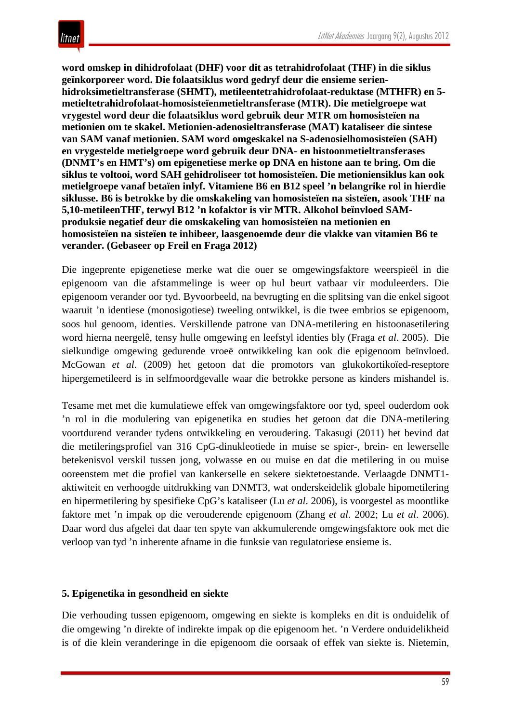**word omskep in dihidrofolaat (DHF) voor dit as tetrahidrofolaat (THF) in die siklus geïnkorporeer word. Die folaatsiklus word gedryf deur die ensieme serienhidroksimetieltransferase (SHMT), metileentetrahidrofolaat-reduktase (MTHFR) en 5 metieltetrahidrofolaat-homosisteïenmetieltransferase (MTR). Die metielgroepe wat vrygestel word deur die folaatsiklus word gebruik deur MTR om homosisteïen na metionien om te skakel. Metionien-adenosieltransferase (MAT) kataliseer die sintese van SAM vanaf metionien. SAM word omgeskakel na S-adenosielhomosisteïen (SAH) en vrygestelde metielgroepe word gebruik deur DNA- en histoonmetieltransferases (DNMT's en HMT's) om epigenetiese merke op DNA en histone aan te bring. Om die siklus te voltooi, word SAH gehidroliseer tot homosisteïen. Die metioniensiklus kan ook metielgroepe vanaf betaïen inlyf. Vitamiene B6 en B12 speel 'n belangrike rol in hierdie siklusse. B6 is betrokke by die omskakeling van homosisteïen na sisteïen, asook THF na 5,10-metileenTHF, terwyl B12 'n kofaktor is vir MTR. Alkohol beïnvloed SAMproduksie negatief deur die omskakeling van homosisteïen na metionien en homosisteïen na sisteïen te inhibeer, laasgenoemde deur die vlakke van vitamien B6 te verander. (Gebaseer op Freil en Fraga 2012)**

Die ingeprente epigenetiese merke wat die ouer se omgewingsfaktore weerspieël in die epigenoom van die afstammelinge is weer op hul beurt vatbaar vir moduleerders. Die epigenoom verander oor tyd. Byvoorbeeld, na bevrugting en die splitsing van die enkel sigoot waaruit 'n identiese (monosigotiese) tweeling ontwikkel, is die twee embrios se epigenoom, soos hul genoom, identies. Verskillende patrone van DNA-metilering en histoonasetilering word hierna neergelê, tensy hulle omgewing en leefstyl identies bly (Fraga *et al*. 2005). Die sielkundige omgewing gedurende vroeë ontwikkeling kan ook die epigenoom beïnvloed. McGowan *et al*. (2009) het getoon dat die promotors van glukokortikoïed-reseptore hipergemetileerd is in selfmoordgevalle waar die betrokke persone as kinders mishandel is.

Tesame met met die kumulatiewe effek van omgewingsfaktore oor tyd, speel ouderdom ook 'n rol in die modulering van epigenetika en studies het getoon dat die DNA-metilering voortdurend verander tydens ontwikkeling en veroudering. Takasugi (2011) het bevind dat die metileringsprofiel van 316 CpG-dinukleotiede in muise se spier-, brein- en lewerselle betekenisvol verskil tussen jong, volwasse en ou muise en dat die metilering in ou muise ooreenstem met die profiel van kankerselle en sekere siektetoestande. Verlaagde DNMT1 aktiwiteit en verhoogde uitdrukking van DNMT3, wat onderskeidelik globale hipometilering en hipermetilering by spesifieke CpG's kataliseer (Lu *et al*. 2006), is voorgestel as moontlike faktore met 'n impak op die verouderende epigenoom (Zhang *et al*. 2002; Lu *et al*. 2006). Daar word dus afgelei dat daar ten spyte van akkumulerende omgewingsfaktore ook met die verloop van tyd 'n inherente afname in die funksie van regulatoriese ensieme is.

## **5. Epigenetika in gesondheid en siekte**

Die verhouding tussen epigenoom, omgewing en siekte is kompleks en dit is onduidelik of die omgewing 'n direkte of indirekte impak op die epigenoom het. 'n Verdere onduidelikheid is of die klein veranderinge in die epigenoom die oorsaak of effek van siekte is. Nietemin,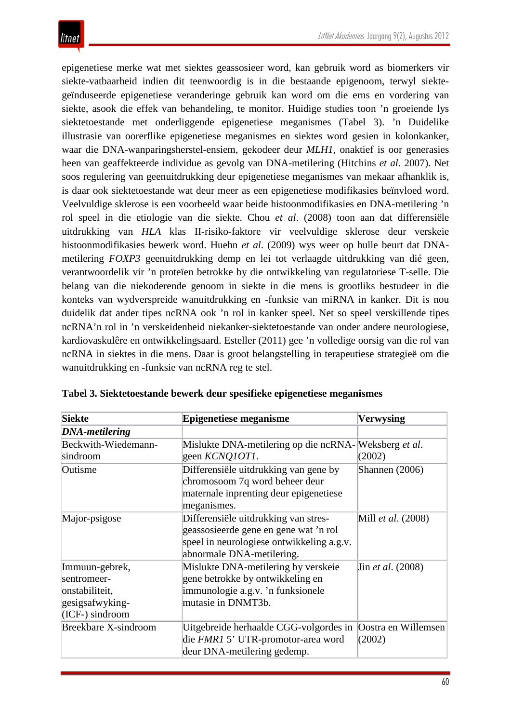epigenetiese merke wat met siektes geassosieer word, kan gebruik word as biomerkers vir siekte-vatbaarheid indien dit teenwoordig is in die bestaande epigenoom, terwyl siektegeïnduseerde epigenetiese veranderinge gebruik kan word om die erns en vordering van siekte, asook die effek van behandeling, te monitor. Huidige studies toon 'n groeiende lys siektetoestande met onderliggende epigenetiese meganismes (Tabel 3). 'n Duidelike illustrasie van oorerflike epigenetiese meganismes en siektes word gesien in kolonkanker, waar die DNA-wanparingsherstel-ensiem, gekodeer deur *MLH1*, onaktief is oor generasies heen van geaffekteerde individue as gevolg van DNA-metilering (Hitchins *et al*. 2007). Net soos regulering van geenuitdrukking deur epigenetiese meganismes van mekaar afhanklik is, is daar ook siektetoestande wat deur meer as een epigenetiese modifikasies beïnvloed word. Veelvuldige sklerose is een voorbeeld waar beide histoonmodifikasies en DNA-metilering 'n rol speel in die etiologie van die siekte. Chou *et al*. (2008) toon aan dat differensiële uitdrukking van *HLA* klas II-risiko-faktore vir veelvuldige sklerose deur verskeie histoonmodifikasies bewerk word. Huehn *et al*. (2009) wys weer op hulle beurt dat DNAmetilering *FOXP3* geenuitdrukking demp en lei tot verlaagde uitdrukking van dié geen, verantwoordelik vir 'n proteïen betrokke by die ontwikkeling van regulatoriese T-selle. Die belang van die niekoderende genoom in siekte in die mens is grootliks bestudeer in die konteks van wydverspreide wanuitdrukking en -funksie van miRNA in kanker. Dit is nou duidelik dat ander tipes ncRNA ook 'n rol in kanker speel. Net so speel verskillende tipes ncRNA'n rol in 'n verskeidenheid niekanker-siektetoestande van onder andere neurologiese, kardiovaskulêre en ontwikkelingsaard. Esteller (2011) gee 'n volledige oorsig van die rol van ncRNA in siektes in die mens. Daar is groot belangstelling in terapeutiese strategieë om die wanuitdrukking en -funksie van ncRNA reg te stel.

| <b>Siekte</b>                                                                         | <b>Epigenetiese meganisme</b>                                                                                                                           | <b>Verwysing</b>                 |
|---------------------------------------------------------------------------------------|---------------------------------------------------------------------------------------------------------------------------------------------------------|----------------------------------|
| <b>DNA-metilering</b>                                                                 |                                                                                                                                                         |                                  |
| Beckwith-Wiedemann-<br>sindroom                                                       | Mislukte DNA-metilering op die ncRNA-<br>geen KCNQ10T1.                                                                                                 | Weksberg <i>et al.</i><br>(2002) |
| Outisme                                                                               | Differensiële uitdrukking van gene by<br>chromosoom 7q word beheer deur<br>maternale inprenting deur epigenetiese<br>meganismes.                        | Shannen (2006)                   |
| Major-psigose                                                                         | Differensiële uitdrukking van stres-<br>geassosieerde gene en gene wat 'n rol<br>speel in neurologiese ontwikkeling a.g.v.<br>abnormale DNA-metilering. | Mill <i>et al.</i> (2008)        |
| Immuun-gebrek,<br>sentromeer-<br>onstabiliteit,<br>gesigsafwyking-<br>(ICF-) sindroom | Mislukte DNA-metilering by verskeie<br>gene betrokke by ontwikkeling en<br>immunologie a.g.v. 'n funksionele<br>mutasie in DNMT3b.                      | Jin <i>et al.</i> (2008)         |
| <b>Breekbare X-sindroom</b>                                                           | Uitgebreide herhaalde CGG-volgordes in<br>die FMR1 5' UTR-promotor-area word<br>deur DNA-metilering gedemp.                                             | Oostra en Willemsen<br>(2002)    |

**Tabel 3. Siektetoestande bewerk deur spesifieke epigenetiese meganismes**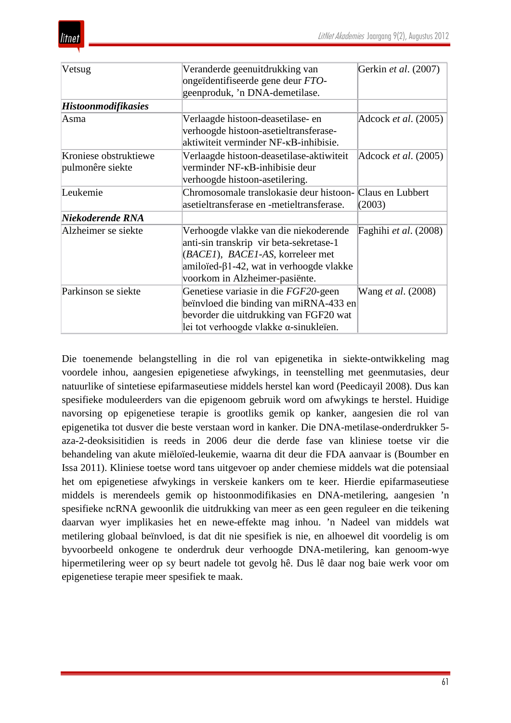

| Vetsug                                    | Veranderde geenuitdrukking van<br>ongeïdentifiseerde gene deur FTO-<br>geenproduk, 'n DNA-demetilase.                                                                                                                      | Gerkin et al. (2007)          |
|-------------------------------------------|----------------------------------------------------------------------------------------------------------------------------------------------------------------------------------------------------------------------------|-------------------------------|
| <b>Histoonmodifikasies</b>                |                                                                                                                                                                                                                            |                               |
| Asma                                      | Verlaagde histoon-deasetilase- en<br>verhoogde histoon-asetieltransferase-<br>aktiwiteit verminder NF-KB-inhibisie.                                                                                                        | Adcock et al. (2005)          |
| Kroniese obstruktiewe<br>pulmonêre siekte | Verlaagde histoon-deasetilase-aktiwiteit<br>verminder NF-KB-inhibisie deur<br>verhoogde histoon-asetilering.                                                                                                               | Adcock <i>et al.</i> $(2005)$ |
| Leukemie                                  | Chromosomale translokasie deur histoon- Claus en Lubbert<br>asetieltransferase en -metieltransferase.                                                                                                                      | (2003)                        |
| Niekoderende RNA                          |                                                                                                                                                                                                                            |                               |
| Alzheimer se siekte                       | Verhoogde vlakke van die niekoderende<br>anti-sin transkrip vir beta-sekretase-1<br>( <i>BACEI</i> ), <i>BACEI-AS</i> , korreleer met<br>amiloïed- $\beta$ 1-42, wat in verhoogde vlakke<br>voorkom in Alzheimer-pasiënte. | Faghihi et al. (2008)         |
| Parkinson se siekte                       | Genetiese variasie in die FGF20-geen<br>beïnvloed die binding van miRNA-433 en<br>bevorder die uitdrukking van FGF20 wat<br>lei tot verhoogde vlakke $\alpha$ -sinukleïen.                                                 | Wang <i>et al.</i> (2008)     |

Die toenemende belangstelling in die rol van epigenetika in siekte-ontwikkeling mag voordele inhou, aangesien epigenetiese afwykings, in teenstelling met geenmutasies, deur natuurlike of sintetiese epifarmaseutiese middels herstel kan word (Peedicayil 2008). Dus kan spesifieke moduleerders van die epigenoom gebruik word om afwykings te herstel. Huidige navorsing op epigenetiese terapie is grootliks gemik op kanker, aangesien die rol van epigenetika tot dusver die beste verstaan word in kanker. Die DNA-metilase-onderdrukker 5 aza-2-deoksisitidien is reeds in 2006 deur die derde fase van kliniese toetse vir die behandeling van akute miëloïed-leukemie, waarna dit deur die FDA aanvaar is (Boumber en Issa 2011). Kliniese toetse word tans uitgevoer op ander chemiese middels wat die potensiaal het om epigenetiese afwykings in verskeie kankers om te keer. Hierdie epifarmaseutiese middels is merendeels gemik op histoonmodifikasies en DNA-metilering, aangesien 'n spesifieke ncRNA gewoonlik die uitdrukking van meer as een geen reguleer en die teikening daarvan wyer implikasies het en newe-effekte mag inhou. 'n Nadeel van middels wat metilering globaal beïnvloed, is dat dit nie spesifiek is nie, en alhoewel dit voordelig is om byvoorbeeld onkogene te onderdruk deur verhoogde DNA-metilering, kan genoom-wye hipermetilering weer op sy beurt nadele tot gevolg hê. Dus lê daar nog baie werk voor om epigenetiese terapie meer spesifiek te maak.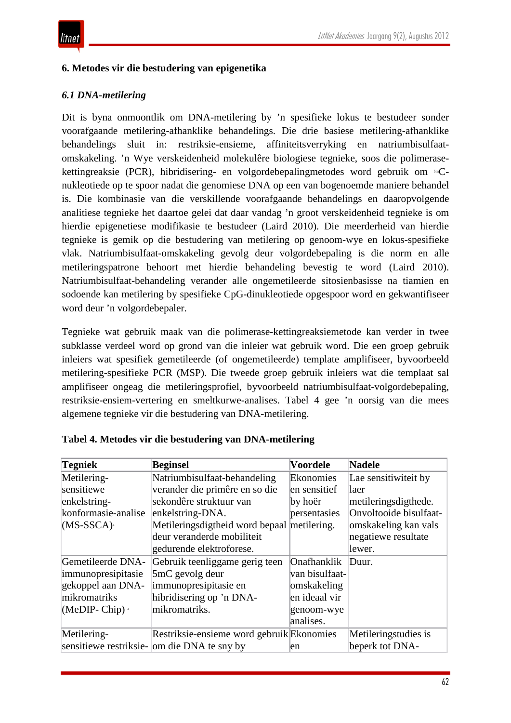### **6. Metodes vir die bestudering van epigenetika**

#### *6.1 DNA-metilering*

Dit is byna onmoontlik om DNA-metilering by 'n spesifieke lokus te bestudeer sonder voorafgaande metilering-afhanklike behandelings. Die drie basiese metilering-afhanklike behandelings sluit in: restriksie-ensieme, affiniteitsverryking en natriumbisulfaatomskakeling. 'n Wye verskeidenheid molekulêre biologiese tegnieke, soos die polimerasekettingreaksie (PCR), hibridisering- en volgordebepalingmetodes word gebruik om 5mCnukleotiede op te spoor nadat die genomiese DNA op een van bogenoemde maniere behandel is. Die kombinasie van die verskillende voorafgaande behandelings en daaropvolgende analitiese tegnieke het daartoe gelei dat daar vandag 'n groot verskeidenheid tegnieke is om hierdie epigenetiese modifikasie te bestudeer (Laird 2010). Die meerderheid van hierdie tegnieke is gemik op die bestudering van metilering op genoom-wye en lokus-spesifieke vlak. Natriumbisulfaat-omskakeling gevolg deur volgordebepaling is die norm en alle metileringspatrone behoort met hierdie behandeling bevestig te word (Laird 2010). Natriumbisulfaat-behandeling verander alle ongemetileerde sitosienbasisse na tiamien en sodoende kan metilering by spesifieke CpG-dinukleotiede opgespoor word en gekwantifiseer word deur 'n volgordebepaler.

Tegnieke wat gebruik maak van die polimerase-kettingreaksiemetode kan verder in twee subklasse verdeel word op grond van die inleier wat gebruik word. Die een groep gebruik inleiers wat spesifiek gemetileerde (of ongemetileerde) template amplifiseer, byvoorbeeld metilering-spesifieke PCR (MSP). Die tweede groep gebruik inleiers wat die templaat sal amplifiseer ongeag die metileringsprofiel, byvoorbeeld natriumbisulfaat-volgordebepaling, restriksie-ensiem-vertering en smeltkurwe-analises. Tabel 4 gee 'n oorsig van die mees algemene tegnieke vir die bestudering van DNA-metilering.

| Tegniek                 | <b>Beginsel</b>                              | <b>Voordele</b> | <b>Nadele</b>          |
|-------------------------|----------------------------------------------|-----------------|------------------------|
| Metilering-             | Natriumbisulfaat-behandeling                 | Ekonomies       | Lae sensitiwiteit by   |
| sensitiewe              | verander die primêre en so die               | en sensitief    | laer                   |
| enkelstring-            | sekondêre struktuur van                      | by hoër         | metileringsdigthede.   |
| konformasie-analise     | enkelstring-DNA.                             | persentasies    | Onvoltooide bisulfaat- |
| $(MS-SSCA)^{3}$         | Metilerings digtheid word bepaal metilering. |                 | omskakeling kan vals   |
|                         | deur veranderde mobiliteit                   |                 | negatiewe resultate    |
|                         | gedurende elektroforese.                     |                 | lewer.                 |
| Gemetileerde DNA-       | Gebruik teenliggame gerig teen               | Onafhanklik     | Duur.                  |
| immunopresipitasie      | 5mC gevolg deur                              | van bisulfaat-  |                        |
| gekoppel aan DNA-       | immunopresipitasie en                        | omskakeling     |                        |
| mikromatriks            | hibridisering op 'n DNA-                     | en ideaal vir   |                        |
| (MeDIP-Chip) $^{\circ}$ | mikromatriks.                                | genoom-wye      |                        |
|                         |                                              | analises.       |                        |
| Metilering-             | Restriksie-ensieme word gebruik Ekonomies    |                 | Metileringstudies is   |
|                         | sensitiewe restriksie- om die DNA te sny by  | en              | beperk tot DNA-        |

|  |  |  | Tabel 4. Metodes vir die bestudering van DNA-metilering |  |  |
|--|--|--|---------------------------------------------------------|--|--|
|--|--|--|---------------------------------------------------------|--|--|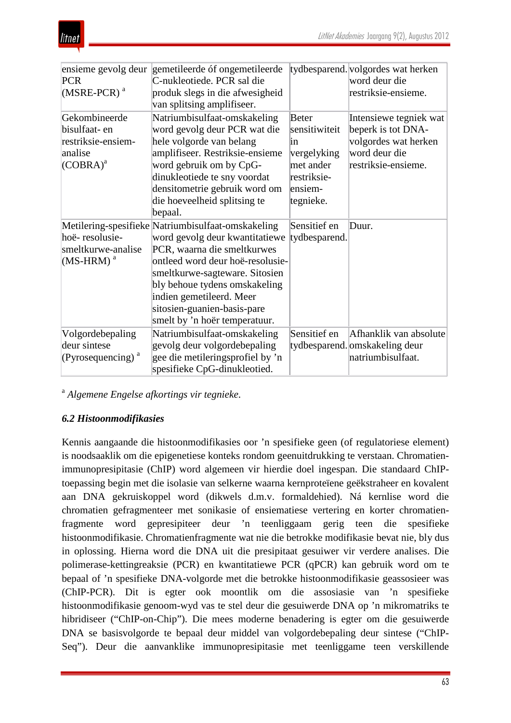

|                               | ensieme gevolg deur gemetileerde óf ongemetileerde |               | tydbesparend. volgordes wat herken |
|-------------------------------|----------------------------------------------------|---------------|------------------------------------|
| <b>PCR</b>                    | C-nukleotiede. PCR sal die                         |               | word deur die                      |
| $(MSRE-PCR)^a$                | produk slegs in die afwesigheid                    |               | restriksie-ensieme.                |
|                               | van splitsing amplifiseer.                         |               |                                    |
| Gekombineerde                 | Natriumbisulfaat-omskakeling                       | <b>Beter</b>  | Intensiewe tegniek wat             |
| bisulfaat- en                 | word gevolg deur PCR wat die                       | sensitiwiteit | beperk is tot DNA-                 |
| restriksie-ensiem-            | hele volgorde van belang                           | in            | volgordes wat herken               |
| analise                       | amplifiseer. Restriksie-ensieme                    | vergelyking   | word deur die                      |
| $(COBRA)^a$                   | word gebruik om by CpG-                            | met ander     | restriksie-ensieme.                |
|                               | dinukleotiede te sny voordat                       | restriksie-   |                                    |
|                               | densitometrie gebruik word om                      | ensiem-       |                                    |
|                               | die hoeveelheid splitsing te                       | tegnieke.     |                                    |
|                               | bepaal.                                            |               |                                    |
|                               | Metilering-spesifieke Natriumbisulfaat-omskakeling | Sensitief en  | Duur.                              |
| hoë-resolusie-                | word gevolg deur kwantitatiewe                     | tydbesparend. |                                    |
| smeltkurwe-analise            | PCR, waarna die smeltkurwes                        |               |                                    |
| $(MS-HRM)^a$                  | ontleed word deur hoë-resolusie-                   |               |                                    |
|                               | smeltkurwe-sagteware. Sitosien                     |               |                                    |
|                               | bly behoue tydens omskakeling                      |               |                                    |
|                               | indien gemetileerd. Meer                           |               |                                    |
|                               | sitosien-guanien-basis-pare                        |               |                                    |
|                               | smelt by 'n hoër temperatuur.                      |               |                                    |
| Volgordebepaling              | Natriumbisulfaat-omskakeling                       | Sensitief en  | Afhanklik van absolute             |
| deur sintese                  | gevolg deur volgordebepaling                       |               | tydbesparend. omskakeling deur     |
| (Pyrosequencing) <sup>a</sup> | gee die metileringsprofiel by 'n                   |               | natriumbisulfaat.                  |
|                               | spesifieke CpG-dinukleotied.                       |               |                                    |

<sup>a</sup> *Algemene Engelse afkortings vir tegnieke*.

## *6.2 Histoonmodifikasies*

Kennis aangaande die histoonmodifikasies oor 'n spesifieke geen (of regulatoriese element) is noodsaaklik om die epigenetiese konteks rondom geenuitdrukking te verstaan. Chromatienimmunopresipitasie (ChIP) word algemeen vir hierdie doel ingespan. Die standaard ChIPtoepassing begin met die isolasie van selkerne waarna kernproteïene geëkstraheer en kovalent aan DNA gekruiskoppel word (dikwels d.m.v. formaldehied). Ná kernlise word die chromatien gefragmenteer met sonikasie of ensiematiese vertering en korter chromatienfragmente word gepresipiteer deur 'n teenliggaam gerig teen die spesifieke histoonmodifikasie. Chromatienfragmente wat nie die betrokke modifikasie bevat nie, bly dus in oplossing. Hierna word die DNA uit die presipitaat gesuiwer vir verdere analises. Die polimerase-kettingreaksie (PCR) en kwantitatiewe PCR (qPCR) kan gebruik word om te bepaal of 'n spesifieke DNA-volgorde met die betrokke histoonmodifikasie geassosieer was (ChIP-PCR). Dit is egter ook moontlik om die assosiasie van 'n spesifieke histoonmodifikasie genoom-wyd vas te stel deur die gesuiwerde DNA op 'n mikromatriks te hibridiseer ("ChIP-on-Chip"). Die mees moderne benadering is egter om die gesuiwerde DNA se basisvolgorde te bepaal deur middel van volgordebepaling deur sintese ("ChIP-Seq"). Deur die aanvanklike immunopresipitasie met teenliggame teen verskillende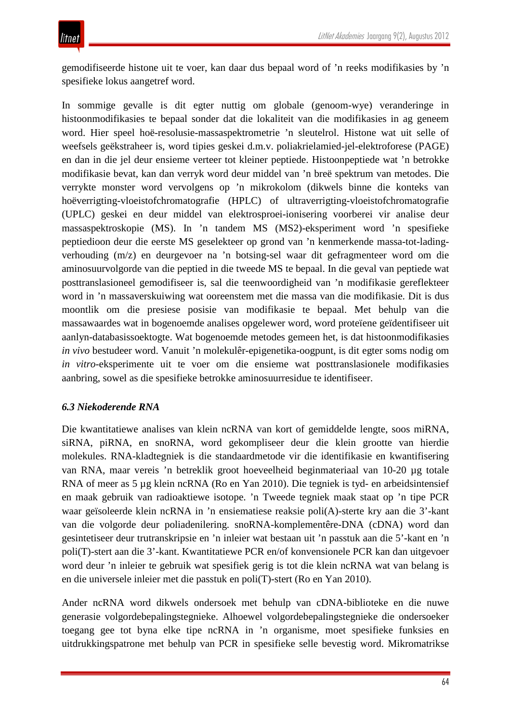gemodifiseerde histone uit te voer, kan daar dus bepaal word of 'n reeks modifikasies by 'n spesifieke lokus aangetref word.

In sommige gevalle is dit egter nuttig om globale (genoom-wye) veranderinge in histoonmodifikasies te bepaal sonder dat die lokaliteit van die modifikasies in ag geneem word. Hier speel hoë-resolusie-massaspektrometrie 'n sleutelrol. Histone wat uit selle of weefsels geëkstraheer is, word tipies geskei d.m.v. poliakrielamied-jel-elektroforese (PAGE) en dan in die jel deur ensieme verteer tot kleiner peptiede. Histoonpeptiede wat 'n betrokke modifikasie bevat, kan dan verryk word deur middel van 'n breë spektrum van metodes. Die verrykte monster word vervolgens op 'n mikrokolom (dikwels binne die konteks van hoëverrigting-vloeistofchromatografie (HPLC) of ultraverrigting-vloeistofchromatografie (UPLC) geskei en deur middel van elektrosproei-ionisering voorberei vir analise deur massaspektroskopie (MS). In 'n tandem MS (MS2)-eksperiment word 'n spesifieke peptiedioon deur die eerste MS geselekteer op grond van 'n kenmerkende massa-tot-ladingverhouding (m/z) en deurgevoer na 'n botsing-sel waar dit gefragmenteer word om die aminosuurvolgorde van die peptied in die tweede MS te bepaal. In die geval van peptiede wat posttranslasioneel gemodifiseer is, sal die teenwoordigheid van 'n modifikasie gereflekteer word in 'n massaverskuiwing wat ooreenstem met die massa van die modifikasie. Dit is dus moontlik om die presiese posisie van modifikasie te bepaal. Met behulp van die massawaardes wat in bogenoemde analises opgelewer word, word proteïene geïdentifiseer uit aanlyn-databasissoektogte. Wat bogenoemde metodes gemeen het, is dat histoonmodifikasies *in vivo* bestudeer word. Vanuit 'n molekulêr-epigenetika-oogpunt, is dit egter soms nodig om *in vitro*-eksperimente uit te voer om die ensieme wat posttranslasionele modifikasies aanbring, sowel as die spesifieke betrokke aminosuurresidue te identifiseer.

## *6.3 Niekoderende RNA*

Die kwantitatiewe analises van klein ncRNA van kort of gemiddelde lengte, soos miRNA, siRNA, piRNA, en snoRNA, word gekompliseer deur die klein grootte van hierdie molekules. RNA-kladtegniek is die standaardmetode vir die identifikasie en kwantifisering van RNA, maar vereis 'n betreklik groot hoeveelheid beginmateriaal van 10-20 µg totale RNA of meer as 5 µg klein ncRNA (Ro en Yan 2010). Die tegniek is tyd- en arbeidsintensief en maak gebruik van radioaktiewe isotope. 'n Tweede tegniek maak staat op 'n tipe PCR waar geïsoleerde klein ncRNA in 'n ensiematiese reaksie poli(A)-sterte kry aan die 3'-kant van die volgorde deur poliadenilering. snoRNA-komplementêre-DNA (cDNA) word dan gesintetiseer deur trutranskripsie en 'n inleier wat bestaan uit 'n passtuk aan die 5'-kant en 'n poli(T)-stert aan die 3'-kant. Kwantitatiewe PCR en/of konvensionele PCR kan dan uitgevoer word deur 'n inleier te gebruik wat spesifiek gerig is tot die klein ncRNA wat van belang is en die universele inleier met die passtuk en poli(T)-stert (Ro en Yan 2010).

Ander ncRNA word dikwels ondersoek met behulp van cDNA-biblioteke en die nuwe generasie volgordebepalingstegnieke. Alhoewel volgordebepalingstegnieke die ondersoeker toegang gee tot byna elke tipe ncRNA in 'n organisme, moet spesifieke funksies en uitdrukkingspatrone met behulp van PCR in spesifieke selle bevestig word. Mikromatrikse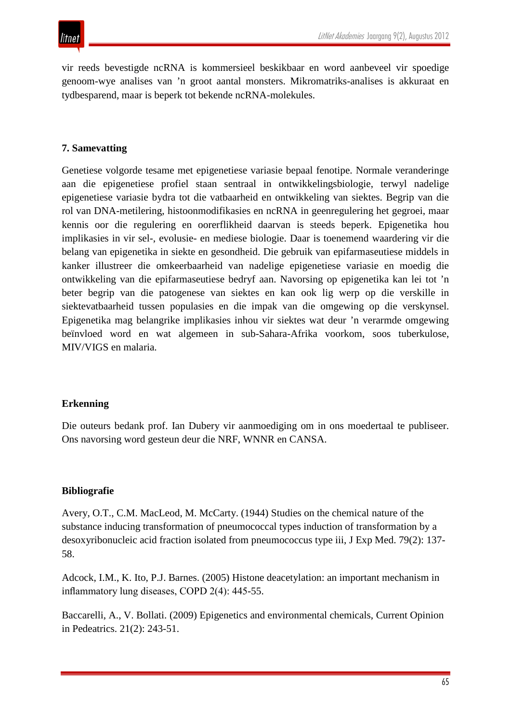vir reeds bevestigde ncRNA is kommersieel beskikbaar en word aanbeveel vir spoedige genoom-wye analises van 'n groot aantal monsters. Mikromatriks-analises is akkuraat en tydbesparend, maar is beperk tot bekende ncRNA-molekules.

#### **7. Samevatting**

Genetiese volgorde tesame met epigenetiese variasie bepaal fenotipe. Normale veranderinge aan die epigenetiese profiel staan sentraal in ontwikkelingsbiologie, terwyl nadelige epigenetiese variasie bydra tot die vatbaarheid en ontwikkeling van siektes. Begrip van die rol van DNA-metilering, histoonmodifikasies en ncRNA in geenregulering het gegroei, maar kennis oor die regulering en oorerflikheid daarvan is steeds beperk. Epigenetika hou implikasies in vir sel-, evolusie- en mediese biologie. Daar is toenemend waardering vir die belang van epigenetika in siekte en gesondheid. Die gebruik van epifarmaseutiese middels in kanker illustreer die omkeerbaarheid van nadelige epigenetiese variasie en moedig die ontwikkeling van die epifarmaseutiese bedryf aan. Navorsing op epigenetika kan lei tot 'n beter begrip van die patogenese van siektes en kan ook lig werp op die verskille in siektevatbaarheid tussen populasies en die impak van die omgewing op die verskynsel. Epigenetika mag belangrike implikasies inhou vir siektes wat deur 'n verarmde omgewing beïnvloed word en wat algemeen in sub-Sahara-Afrika voorkom, soos tuberkulose, MIV/VIGS en malaria.

#### **Erkenning**

Die outeurs bedank prof. Ian Dubery vir aanmoediging om in ons moedertaal te publiseer. Ons navorsing word gesteun deur die NRF, WNNR en CANSA.

#### **Bibliografie**

Avery, O.T., C.M. MacLeod, M. McCarty. (1944) Studies on the chemical nature of the substance inducing transformation of pneumococcal types induction of transformation by a desoxyribonucleic acid fraction isolated from pneumococcus type iii, J Exp Med. 79(2): 137- 58.

Adcock, I.M., K. Ito, P.J. Barnes. (2005) Histone deacetylation: an important mechanism in inflammatory lung diseases, COPD 2(4): 445-55.

Baccarelli, A., V. Bollati. (2009) Epigenetics and environmental chemicals, Current Opinion in Pedeatrics. 21(2): 243-51.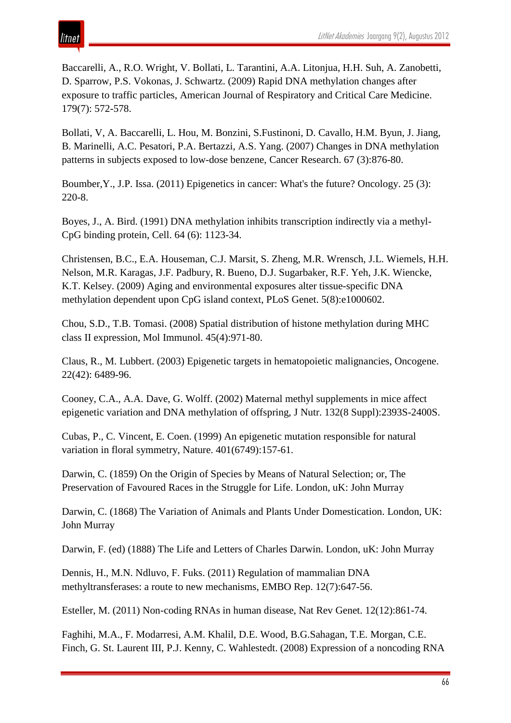Baccarelli, A., R.O. Wright, V. Bollati, L. Tarantini, A.A. Litonjua, H.H. Suh, A. Zanobetti, D. Sparrow, P.S. Vokonas, J. Schwartz. (2009) Rapid DNA methylation changes after exposure to traffic particles, American Journal of Respiratory and Critical Care Medicine. 179(7): 572-578.

Bollati, V, A. Baccarelli, L. Hou, M. Bonzini, S.Fustinoni, D. Cavallo, H.M. Byun, J. Jiang, B. Marinelli, A.C. Pesatori, P.A. Bertazzi, A.S. Yang. (2007) Changes in DNA methylation patterns in subjects exposed to low-dose benzene, Cancer Research. 67 (3):876-80.

Boumber,Y., J.P. Issa. (2011) Epigenetics in cancer: What's the future? Oncology. 25 (3): 220-8.

Boyes, J., A. Bird. (1991) DNA methylation inhibits transcription indirectly via a methyl-CpG binding protein, Cell. 64 (6): 1123-34.

Christensen, B.C., E.A. Houseman, C.J. Marsit, S. Zheng, M.R. Wrensch, J.L. Wiemels, H.H. Nelson, M.R. Karagas, J.F. Padbury, R. Bueno, D.J. Sugarbaker, R.F. Yeh, J.K. Wiencke, K.T. Kelsey. (2009) Aging and environmental exposures alter tissue-specific DNA methylation dependent upon CpG island context, PLoS Genet. 5(8):e1000602.

Chou, S.D., T.B. Tomasi. (2008) Spatial distribution of histone methylation during MHC class II expression, Mol Immunol. 45(4):971-80.

Claus, R., M. Lubbert. (2003) Epigenetic targets in hematopoietic malignancies, Oncogene. 22(42): 6489-96.

Cooney, C.A., A.A. Dave, G. Wolff. (2002) Maternal methyl supplements in mice affect epigenetic variation and DNA methylation of offspring, J Nutr. 132(8 Suppl):2393S-2400S.

Cubas, P., C. Vincent, E. Coen. (1999) An epigenetic mutation responsible for natural variation in floral symmetry, Nature. 401(6749):157-61.

Darwin, C. (1859) On the Origin of Species by Means of Natural Selection; or, The Preservation of Favoured Races in the Struggle for Life. London, uK: John Murray

Darwin, C. (1868) The Variation of Animals and Plants Under Domestication. London, UK: John Murray

Darwin, F. (ed) (1888) The Life and Letters of Charles Darwin. London, uK: John Murray

Dennis, H., M.N. Ndluvo, F. Fuks. (2011) Regulation of mammalian DNA methyltransferases: a route to new mechanisms, EMBO Rep. 12(7):647-56.

Esteller, M. (2011) Non-coding RNAs in human disease, Nat Rev Genet. 12(12):861-74.

Faghihi, M.A., F. Modarresi, A.M. Khalil, D.E. Wood, B.G.Sahagan, T.E. Morgan, C.E. Finch, G. St. Laurent III, P.J. Kenny, C. Wahlestedt. (2008) Expression of a noncoding RNA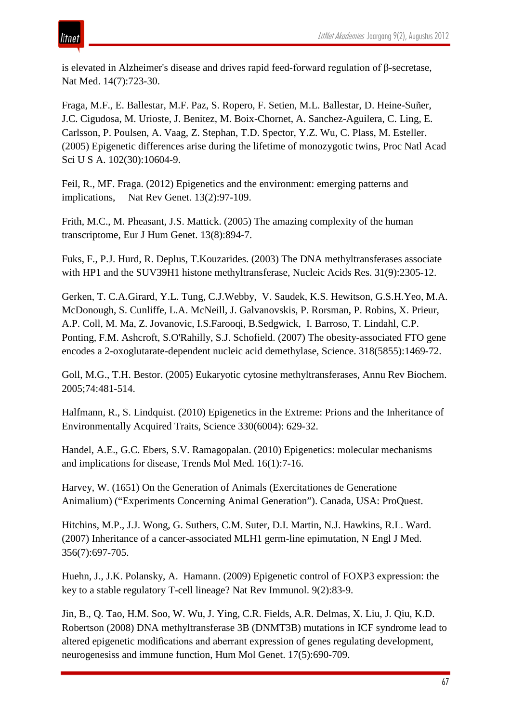is elevated in Alzheimer's disease and drives rapid feed-forward regulation of β-secretase, Nat Med. 14(7):723-30.

Fraga, M.F., E. Ballestar, M.F. Paz, S. Ropero, F. Setien, M.L. Ballestar, D. Heine-Suñer, J.C. Cigudosa, M. Urioste, J. Benitez, M. Boix-Chornet, A. Sanchez-Aguilera, C. Ling, E. Carlsson, P. Poulsen, A. Vaag, Z. Stephan, T.D. Spector, Y.Z. Wu, C. Plass, M. Esteller. (2005) Epigenetic differences arise during the lifetime of monozygotic twins, Proc Natl Acad Sci U S A. 102(30):10604-9.

Feil, R., MF. Fraga. (2012) Epigenetics and the environment: emerging patterns and implications, Nat Rev Genet. 13(2):97-109.

Frith, M.C., M. Pheasant, J.S. Mattick. (2005) The amazing complexity of the human transcriptome, Eur J Hum Genet. 13(8):894-7.

Fuks, F., P.J. Hurd, R. Deplus, T.Kouzarides. (2003) The DNA methyltransferases associate with HP1 and the SUV39H1 histone methyltransferase, Nucleic Acids Res. 31(9):2305-12.

Gerken, T. C.A.Girard, Y.L. Tung, C.J.Webby, V. Saudek, K.S. Hewitson, G.S.H.Yeo, M.A. McDonough, S. Cunliffe, L.A. McNeill, J. Galvanovskis, P. Rorsman, P. Robins, X. Prieur, A.P. Coll, M. Ma, Z. Jovanovic, I.S.Farooqi, B.Sedgwick, I. Barroso, T. Lindahl, C.P. Ponting, F.M. Ashcroft, S.O'Rahilly, S.J. Schofield. (2007) The obesity-associated FTO gene encodes a 2-oxoglutarate-dependent nucleic acid demethylase, Science. 318(5855):1469-72.

Goll, M.G., T.H. Bestor. (2005) Eukaryotic cytosine methyltransferases, Annu Rev Biochem. 2005;74:481-514.

Halfmann, R., S. Lindquist. (2010) Epigenetics in the Extreme: Prions and the Inheritance of Environmentally Acquired Traits, Science 330(6004): 629-32.

Handel, A.E., G.C. Ebers, S.V. Ramagopalan. (2010) Epigenetics: molecular mechanisms and implications for disease, Trends Mol Med. 16(1):7-16.

Harvey, W. (1651) On the Generation of Animals (Exercitationes de Generatione Animalium) ("Experiments Concerning Animal Generation"). Canada, USA: ProQuest.

Hitchins, M.P., J.J. Wong, G. Suthers, C.M. Suter, D.I. Martin, N.J. Hawkins, R.L. Ward. (2007) Inheritance of a cancer-associated MLH1 germ-line epimutation, N Engl J Med. 356(7):697-705.

Huehn, J., J.K. Polansky, A. Hamann. (2009) Epigenetic control of FOXP3 expression: the key to a stable regulatory T-cell lineage? Nat Rev Immunol. 9(2):83-9.

Jin, B., Q. Tao, H.M. Soo, W. Wu, J. Ying, C.R. Fields, A.R. Delmas, X. Liu, J. Qiu, K.D. Robertson (2008) DNA methyltransferase 3B (DNMT3B) mutations in ICF syndrome lead to altered epigenetic modifications and aberrant expression of genes regulating development, neurogenesiss and immune function, Hum Mol Genet. 17(5):690-709.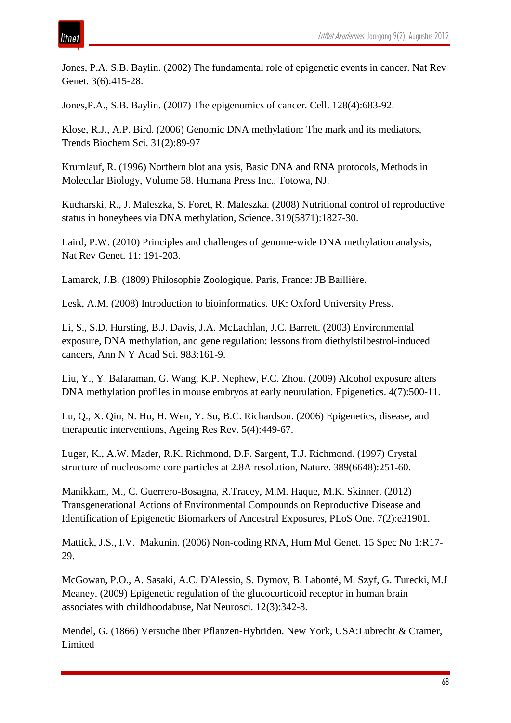# itnet

Jones, P.A. S.B. Baylin. (2002) The fundamental role of epigenetic events in cancer. Nat Rev Genet. 3(6):415-28.

Jones,P.A., S.B. Baylin. (2007) The epigenomics of cancer. Cell. 128(4):683-92.

Klose, R.J., A.P. Bird. (2006) Genomic DNA methylation: The mark and its mediators, Trends Biochem Sci. 31(2):89-97

Krumlauf, R. (1996) Northern blot analysis, Basic DNA and RNA protocols, Methods in Molecular Biology, Volume 58. Humana Press Inc., Totowa, NJ.

Kucharski, R., J. Maleszka, S. Foret, R. Maleszka. (2008) Nutritional control of reproductive status in honeybees via DNA methylation, Science. 319(5871):1827-30.

Laird, P.W. (2010) Principles and challenges of genome-wide DNA methylation analysis, Nat Rev Genet. 11: 191-203.

Lamarck, J.B. (1809) Philosophie Zoologique. Paris, France: JB Baillière.

Lesk, A.M. (2008) Introduction to bioinformatics. UK: Oxford University Press.

Li, S., S.D. Hursting, B.J. Davis, J.A. McLachlan, J.C. Barrett. (2003) Environmental exposure, DNA methylation, and gene regulation: lessons from diethylstilbestrol-induced cancers, Ann N Y Acad Sci. 983:161-9.

Liu, Y., Y. Balaraman, G. Wang, K.P. Nephew, F.C. Zhou. (2009) Alcohol exposure alters DNA methylation profiles in mouse embryos at early neurulation. Epigenetics. 4(7):500-11.

Lu, Q., X. Qiu, N. Hu, H. Wen, Y. Su, B.C. Richardson. (2006) Epigenetics, disease, and therapeutic interventions, Ageing Res Rev. 5(4):449-67.

Luger, K., A.W. Mader, R.K. Richmond, D.F. Sargent, T.J. Richmond. (1997) Crystal structure of nucleosome core particles at 2.8A resolution, Nature. 389(6648):251-60.

Manikkam, M., C. Guerrero-Bosagna, R.Tracey, M.M. Haque, M.K. Skinner. (2012) Transgenerational Actions of Environmental Compounds on Reproductive Disease and Identification of Epigenetic Biomarkers of Ancestral Exposures, PLoS One. 7(2):e31901.

Mattick, J.S., I.V. Makunin. (2006) Non-coding RNA, Hum Mol Genet. 15 Spec No 1:R17- 29.

McGowan, P.O., A. Sasaki, A.C. D'Alessio, S. Dymov, B. Labonté, M. Szyf, G. Turecki, M.J Meaney. (2009) Epigenetic regulation of the glucocorticoid receptor in human brain associates with childhoodabuse, Nat Neurosci. 12(3):342-8.

Mendel, G. (1866) Versuche über Pflanzen-Hybriden. New York, USA:Lubrecht & Cramer, Limited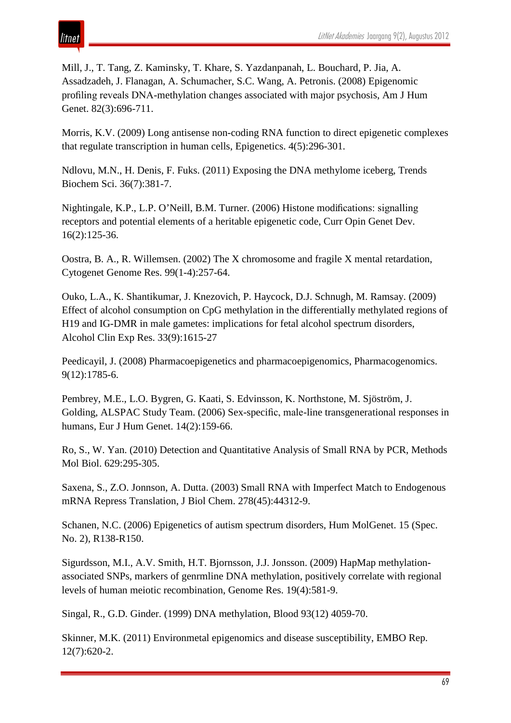Mill, J., T. Tang, Z. Kaminsky, T. Khare, S. Yazdanpanah, L. Bouchard, P. Jia, A. Assadzadeh, J. Flanagan, A. Schumacher, S.C. Wang, A. Petronis. (2008) Epigenomic profiling reveals DNA-methylation changes associated with major psychosis, Am J Hum Genet. 82(3):696-711.

Morris, K.V. (2009) Long antisense non-coding RNA function to direct epigenetic complexes that regulate transcription in human cells, Epigenetics. 4(5):296-301.

Ndlovu, M.N., H. Denis, F. Fuks. (2011) Exposing the DNA methylome iceberg, Trends Biochem Sci. 36(7):381-7.

Nightingale, K.P., L.P. O'Neill, B.M. Turner. (2006) Histone modifications: signalling receptors and potential elements of a heritable epigenetic code, Curr Opin Genet Dev. 16(2):125-36.

Oostra, B. A., R. Willemsen. (2002) The X chromosome and fragile X mental retardation, Cytogenet Genome Res. 99(1-4):257-64.

Ouko, L.A., K. Shantikumar, J. Knezovich, P. Haycock, D.J. Schnugh, M. Ramsay. (2009) Effect of alcohol consumption on CpG methylation in the differentially methylated regions of H19 and IG-DMR in male gametes: implications for fetal alcohol spectrum disorders, Alcohol Clin Exp Res. 33(9):1615-27

Peedicayil, J. (2008) Pharmacoepigenetics and pharmacoepigenomics, Pharmacogenomics. 9(12):1785-6.

Pembrey, M.E., L.O. Bygren, G. Kaati, S. Edvinsson, K. Northstone, M. Sjöström, J. Golding, ALSPAC Study Team. (2006) Sex-specific, male-line transgenerational responses in humans, Eur J Hum Genet. 14(2):159-66.

Ro, S., W. Yan. (2010) Detection and Quantitative Analysis of Small RNA by PCR, Methods Mol Biol. 629:295-305.

Saxena, S., Z.O. Jonnson, A. Dutta. (2003) Small RNA with Imperfect Match to Endogenous mRNA Repress Translation, J Biol Chem. 278(45):44312-9.

Schanen, N.C. (2006) Epigenetics of autism spectrum disorders, Hum MolGenet. 15 (Spec. No. 2), R138-R150.

Sigurdsson, M.I., A.V. Smith, H.T. Bjornsson, J.J. Jonsson. (2009) HapMap methylationassociated SNPs, markers of genrmline DNA methylation, positively correlate with regional levels of human meiotic recombination, Genome Res. 19(4):581-9.

Singal, R., G.D. Ginder. (1999) DNA methylation, Blood 93(12) 4059-70.

Skinner, M.K. (2011) Environmetal epigenomics and disease susceptibility, EMBO Rep. 12(7):620-2.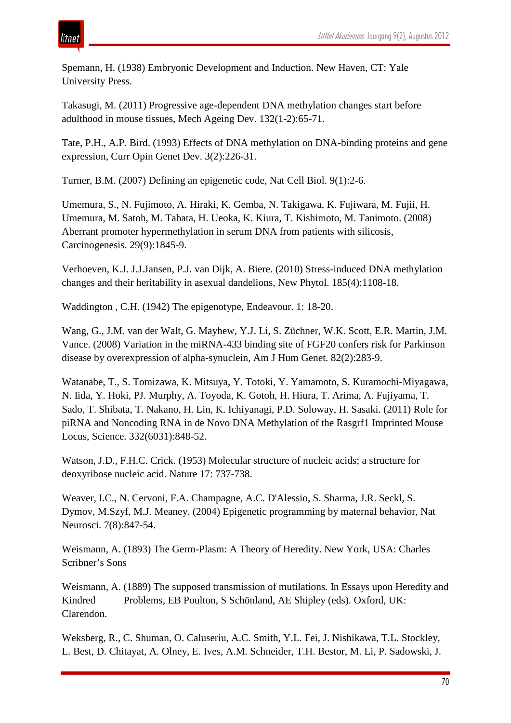# ıtnet

Spemann, H. (1938) Embryonic Development and Induction. New Haven, CT: Yale University Press.

Takasugi, M. (2011) Progressive age-dependent DNA methylation changes start before adulthood in mouse tissues, Mech Ageing Dev. 132(1-2):65-71.

Tate, P.H., A.P. Bird. (1993) Effects of DNA methylation on DNA-binding proteins and gene expression, Curr Opin Genet Dev. 3(2):226-31.

Turner, B.M. (2007) Defining an epigenetic code, Nat Cell Biol. 9(1):2-6.

Umemura, S., N. Fujimoto, A. Hiraki, K. Gemba, N. Takigawa, K. Fujiwara, M. Fujii, H. Umemura, M. Satoh, M. Tabata, H. Ueoka, K. Kiura, T. Kishimoto, M. Tanimoto. (2008) Aberrant promoter hypermethylation in serum DNA from patients with silicosis, Carcinogenesis. 29(9):1845-9.

Verhoeven, K.J. J.J.Jansen, P.J. van Dijk, A. Biere. (2010) Stress-induced DNA methylation changes and their heritability in asexual dandelions, New Phytol. 185(4):1108-18.

Waddington , C.H. (1942) The epigenotype, Endeavour. 1: 18-20.

Wang, G., J.M. van der Walt, G. Mayhew, Y.J. Li, S. Züchner, W.K. Scott, E.R. Martin, J.M. Vance. (2008) Variation in the miRNA-433 binding site of FGF20 confers risk for Parkinson disease by overexpression of alpha-synuclein, Am J Hum Genet. 82(2):283-9.

Watanabe, T., S. Tomizawa, K. Mitsuya, Y. Totoki, Y. Yamamoto, S. Kuramochi-Miyagawa, N. Iida, Y. Hoki, PJ. Murphy, A. Toyoda, K. Gotoh, H. Hiura, T. Arima, A. Fujiyama, T. Sado, T. Shibata, T. Nakano, H. Lin, K. Ichiyanagi, P.D. Soloway, H. Sasaki. (2011) Role for piRNA and Noncoding RNA in de Novo DNA Methylation of the Rasgrf1 Imprinted Mouse Locus, Science. 332(6031):848-52.

Watson, J.D., F.H.C. Crick. (1953) Molecular structure of nucleic acids; a structure for deoxyribose nucleic acid. Nature 17: 737-738.

Weaver, I.C., N. Cervoni, F.A. Champagne, A.C. D'Alessio, S. Sharma, J.R. Seckl, S. Dymov, M.Szyf, M.J. Meaney. (2004) Epigenetic programming by maternal behavior, Nat Neurosci. 7(8):847-54.

Weismann, A. (1893) The Germ-Plasm: A Theory of Heredity. New York, USA: Charles Scribner's Sons

Weismann, A. (1889) The supposed transmission of mutilations. In Essays upon Heredity and Kindred Problems, EB Poulton, S Schönland, AE Shipley (eds). Oxford, UK: Clarendon.

Weksberg, R., C. Shuman, O. Caluseriu, A.C. Smith, Y.L. Fei, J. Nishikawa, T.L. Stockley, L. Best, D. Chitayat, A. Olney, E. Ives, A.M. Schneider, T.H. Bestor, M. Li, P. Sadowski, J.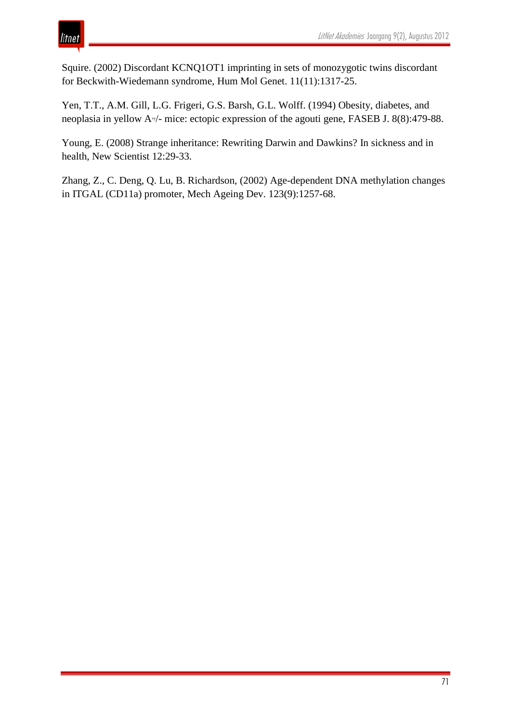Squire. (2002) Discordant KCNQ1OT1 imprinting in sets of monozygotic twins discordant for Beckwith-Wiedemann syndrome, Hum Mol Genet. 11(11):1317-25.

Yen, T.T., A.M. Gill, L.G. Frigeri, G.S. Barsh, G.L. Wolff. (1994) Obesity, diabetes, and neoplasia in yellow A<sup>v</sup>/- mice: ectopic expression of the agouti gene, FASEB J. 8(8):479-88.

Young, E. (2008) Strange inheritance: Rewriting Darwin and Dawkins? In sickness and in health, New Scientist 12:29-33.

Zhang, Z., C. Deng, Q. Lu, B. Richardson, (2002) Age-dependent DNA methylation changes in ITGAL (CD11a) promoter, Mech Ageing Dev. 123(9):1257-68.